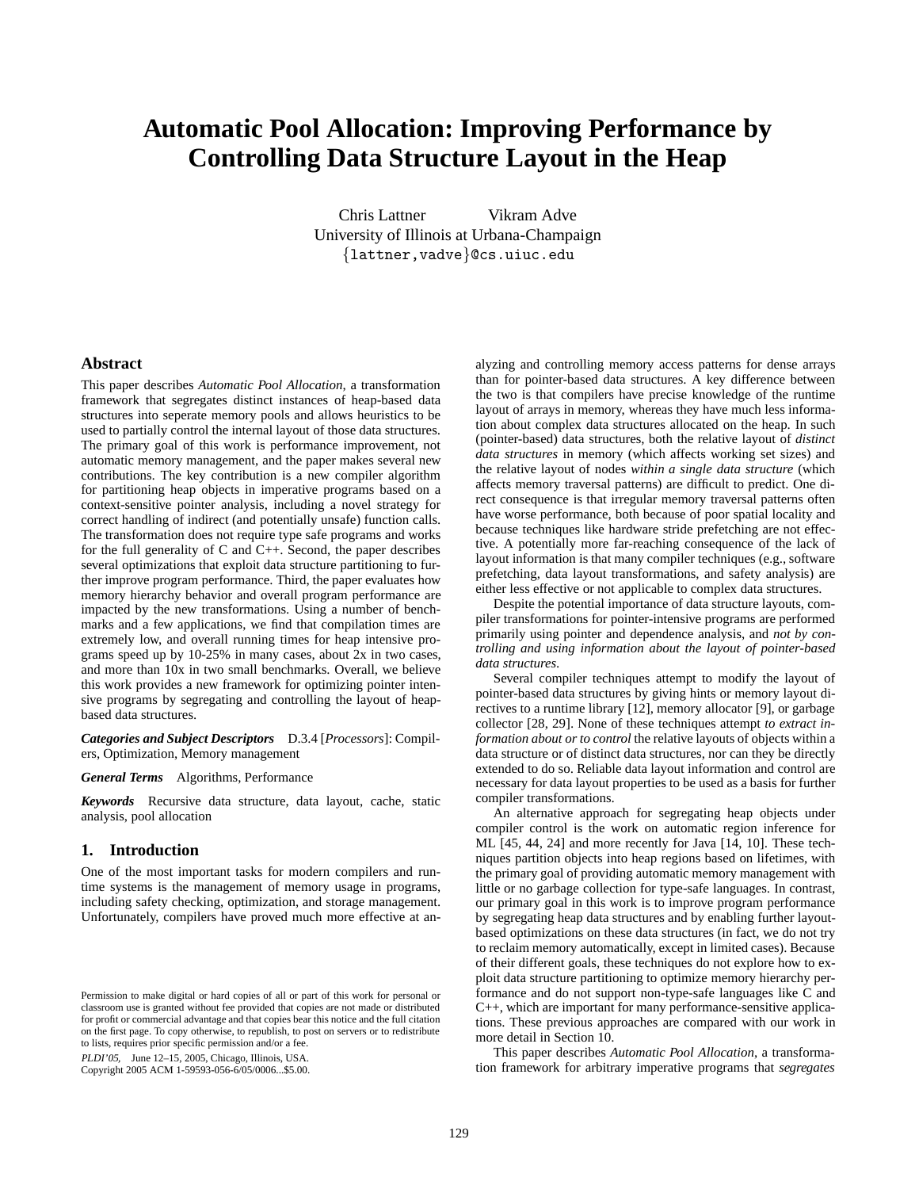# **Automatic Pool Allocation: Improving Performance by Controlling Data Structure Layout in the Heap**

Chris Lattner Vikram Adve University of Illinois at Urbana-Champaign *{*lattner,vadve*}*@cs.uiuc.edu

# **Abstract**

This paper describes *Automatic Pool Allocation*, a transformation framework that segregates distinct instances of heap-based data structures into seperate memory pools and allows heuristics to be used to partially control the internal layout of those data structures. The primary goal of this work is performance improvement, not automatic memory management, and the paper makes several new contributions. The key contribution is a new compiler algorithm for partitioning heap objects in imperative programs based on a context-sensitive pointer analysis, including a novel strategy for correct handling of indirect (and potentially unsafe) function calls. The transformation does not require type safe programs and works for the full generality of C and  $C_{++}$ . Second, the paper describes several optimizations that exploit data structure partitioning to further improve program performance. Third, the paper evaluates how memory hierarchy behavior and overall program performance are impacted by the new transformations. Using a number of benchmarks and a few applications, we find that compilation times are extremely low, and overall running times for heap intensive programs speed up by 10-25% in many cases, about 2x in two cases, and more than 10x in two small benchmarks. Overall, we believe this work provides a new framework for optimizing pointer intensive programs by segregating and controlling the layout of heapbased data structures.

*Categories and Subject Descriptors* D.3.4 [*Processors*]: Compilers, Optimization, Memory management

*General Terms* Algorithms, Performance

*Keywords* Recursive data structure, data layout, cache, static analysis, pool allocation

## **1. Introduction**

One of the most important tasks for modern compilers and runtime systems is the management of memory usage in programs, including safety checking, optimization, and storage management. Unfortunately, compilers have proved much more effective at an-

PLDI'05, June 12–15, 2005, Chicago, Illinois, USA.

Copyright 2005 ACM 1-59593-056-6/05/0006...\$5.00.

alyzing and controlling memory access patterns for dense arrays than for pointer-based data structures. A key difference between the two is that compilers have precise knowledge of the runtime layout of arrays in memory, whereas they have much less information about complex data structures allocated on the heap. In such (pointer-based) data structures, both the relative layout of *distinct data structures* in memory (which affects working set sizes) and the relative layout of nodes *within a single data structure* (which affects memory traversal patterns) are difficult to predict. One direct consequence is that irregular memory traversal patterns often have worse performance, both because of poor spatial locality and because techniques like hardware stride prefetching are not effective. A potentially more far-reaching consequence of the lack of layout information is that many compiler techniques (e.g., software prefetching, data layout transformations, and safety analysis) are either less effective or not applicable to complex data structures.

Despite the potential importance of data structure layouts, compiler transformations for pointer-intensive programs are performed primarily using pointer and dependence analysis, and *not by controlling and using information about the layout of pointer-based data structures*.

Several compiler techniques attempt to modify the layout of pointer-based data structures by giving hints or memory layout directives to a runtime library [12], memory allocator [9], or garbage collector [28, 29]. None of these techniques attempt *to extract information about or to control* the relative layouts of objects within a data structure or of distinct data structures, nor can they be directly extended to do so. Reliable data layout information and control are necessary for data layout properties to be used as a basis for further compiler transformations.

An alternative approach for segregating heap objects under compiler control is the work on automatic region inference for ML [45, 44, 24] and more recently for Java [14, 10]. These techniques partition objects into heap regions based on lifetimes, with the primary goal of providing automatic memory management with little or no garbage collection for type-safe languages. In contrast, our primary goal in this work is to improve program performance by segregating heap data structures and by enabling further layoutbased optimizations on these data structures (in fact, we do not try to reclaim memory automatically, except in limited cases). Because of their different goals, these techniques do not explore how to exploit data structure partitioning to optimize memory hierarchy performance and do not support non-type-safe languages like C and C++, which are important for many performance-sensitive applications. These previous approaches are compared with our work in more detail in Section 10.

This paper describes *Automatic Pool Allocation*, a transformation framework for arbitrary imperative programs that *segregates*

Permission to make digital or hard copies of all or part of this work for personal or classroom use is granted without fee provided that copies are not made or distributed for profit or commercial advantage and that copies bear this notice and the full citation on the first page. To copy otherwise, to republish, to post on servers or to redistribute to lists, requires prior specific permission and/or a fee.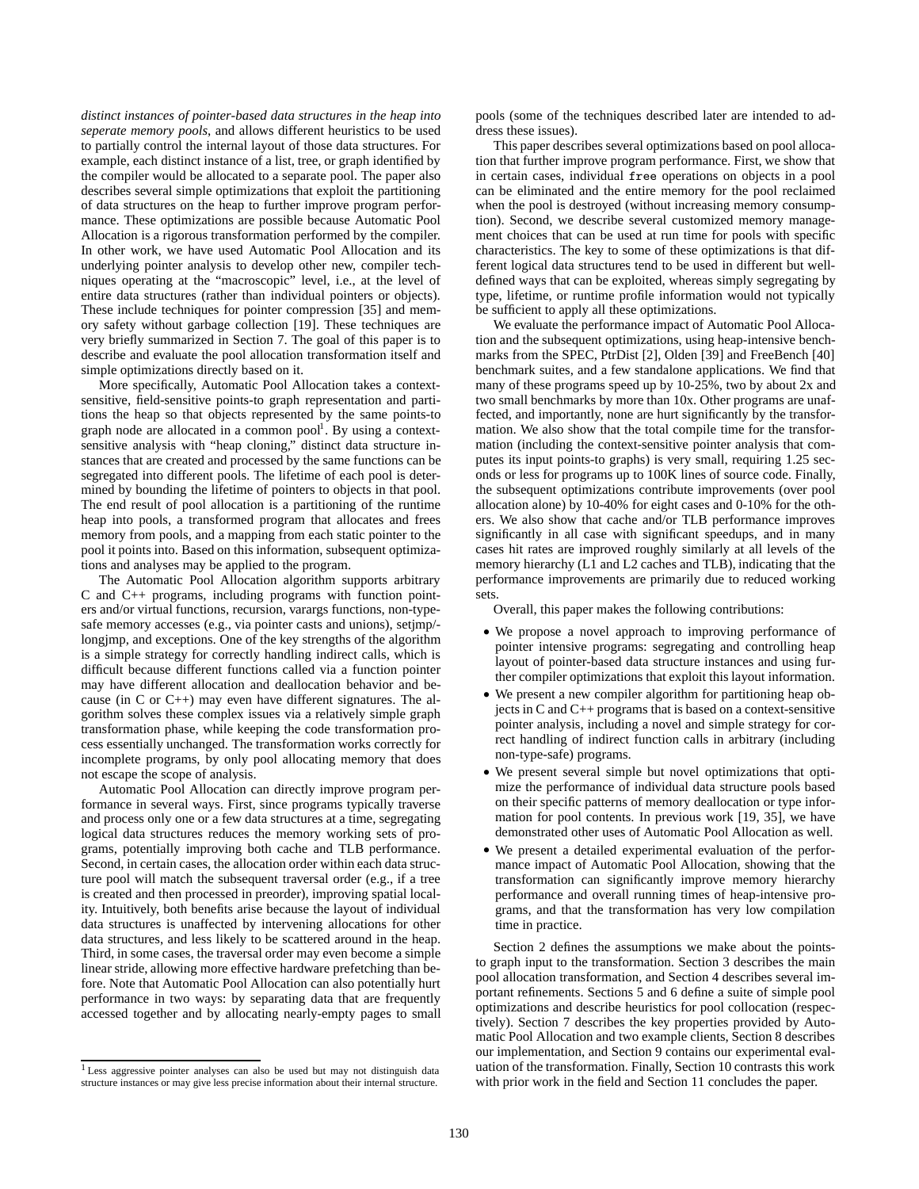*distinct instances of pointer-based data structures in the heap into seperate memory pools*, and allows different heuristics to be used to partially control the internal layout of those data structures. For example, each distinct instance of a list, tree, or graph identified by the compiler would be allocated to a separate pool. The paper also describes several simple optimizations that exploit the partitioning of data structures on the heap to further improve program performance. These optimizations are possible because Automatic Pool Allocation is a rigorous transformation performed by the compiler. In other work, we have used Automatic Pool Allocation and its underlying pointer analysis to develop other new, compiler techniques operating at the "macroscopic" level, i.e., at the level of entire data structures (rather than individual pointers or objects). These include techniques for pointer compression [35] and memory safety without garbage collection [19]. These techniques are very briefly summarized in Section 7. The goal of this paper is to describe and evaluate the pool allocation transformation itself and simple optimizations directly based on it.

More specifically, Automatic Pool Allocation takes a contextsensitive, field-sensitive points-to graph representation and partitions the heap so that objects represented by the same points-to graph node are allocated in a common pool<sup>1</sup>. By using a contextsensitive analysis with "heap cloning," distinct data structure instances that are created and processed by the same functions can be segregated into different pools. The lifetime of each pool is determined by bounding the lifetime of pointers to objects in that pool. The end result of pool allocation is a partitioning of the runtime heap into pools, a transformed program that allocates and frees memory from pools, and a mapping from each static pointer to the pool it points into. Based on this information, subsequent optimizations and analyses may be applied to the program.

The Automatic Pool Allocation algorithm supports arbitrary C and C++ programs, including programs with function pointers and/or virtual functions, recursion, varargs functions, non-typesafe memory accesses (e.g., via pointer casts and unions), setjmp/ longjmp, and exceptions. One of the key strengths of the algorithm is a simple strategy for correctly handling indirect calls, which is difficult because different functions called via a function pointer may have different allocation and deallocation behavior and because (in C or C++) may even have different signatures. The algorithm solves these complex issues via a relatively simple graph transformation phase, while keeping the code transformation process essentially unchanged. The transformation works correctly for incomplete programs, by only pool allocating memory that does not escape the scope of analysis.

Automatic Pool Allocation can directly improve program performance in several ways. First, since programs typically traverse and process only one or a few data structures at a time, segregating logical data structures reduces the memory working sets of programs, potentially improving both cache and TLB performance. Second, in certain cases, the allocation order within each data structure pool will match the subsequent traversal order (e.g., if a tree is created and then processed in preorder), improving spatial locality. Intuitively, both benefits arise because the layout of individual data structures is unaffected by intervening allocations for other data structures, and less likely to be scattered around in the heap. Third, in some cases, the traversal order may even become a simple linear stride, allowing more effective hardware prefetching than before. Note that Automatic Pool Allocation can also potentially hurt performance in two ways: by separating data that are frequently accessed together and by allocating nearly-empty pages to small

<sup>1</sup> Less aggressive pointer analyses can also be used but may not distinguish data structure instances or may give less precise information about their internal structure.

pools (some of the techniques described later are intended to address these issues).

This paper describes several optimizations based on pool allocation that further improve program performance. First, we show that in certain cases, individual free operations on objects in a pool can be eliminated and the entire memory for the pool reclaimed when the pool is destroyed (without increasing memory consumption). Second, we describe several customized memory management choices that can be used at run time for pools with specific characteristics. The key to some of these optimizations is that different logical data structures tend to be used in different but welldefined ways that can be exploited, whereas simply segregating by type, lifetime, or runtime profile information would not typically be sufficient to apply all these optimizations.

We evaluate the performance impact of Automatic Pool Allocation and the subsequent optimizations, using heap-intensive benchmarks from the SPEC, PtrDist [2], Olden [39] and FreeBench [40] benchmark suites, and a few standalone applications. We find that many of these programs speed up by 10-25%, two by about 2x and two small benchmarks by more than 10x. Other programs are unaffected, and importantly, none are hurt significantly by the transformation. We also show that the total compile time for the transformation (including the context-sensitive pointer analysis that computes its input points-to graphs) is very small, requiring 1.25 seconds or less for programs up to 100K lines of source code. Finally, the subsequent optimizations contribute improvements (over pool allocation alone) by 10-40% for eight cases and 0-10% for the others. We also show that cache and/or TLB performance improves significantly in all case with significant speedups, and in many cases hit rates are improved roughly similarly at all levels of the memory hierarchy (L1 and L2 caches and TLB), indicating that the performance improvements are primarily due to reduced working sets.

Overall, this paper makes the following contributions:

- *•* We propose a novel approach to improving performance of pointer intensive programs: segregating and controlling heap layout of pointer-based data structure instances and using further compiler optimizations that exploit this layout information.
- *•* We present a new compiler algorithm for partitioning heap objects in C and C++ programs that is based on a context-sensitive pointer analysis, including a novel and simple strategy for correct handling of indirect function calls in arbitrary (including non-type-safe) programs.
- We present several simple but novel optimizations that optimize the performance of individual data structure pools based on their specific patterns of memory deallocation or type information for pool contents. In previous work [19, 35], we have demonstrated other uses of Automatic Pool Allocation as well.
- *•* We present a detailed experimental evaluation of the performance impact of Automatic Pool Allocation, showing that the transformation can significantly improve memory hierarchy performance and overall running times of heap-intensive programs, and that the transformation has very low compilation time in practice.

Section 2 defines the assumptions we make about the pointsto graph input to the transformation. Section 3 describes the main pool allocation transformation, and Section 4 describes several important refinements. Sections 5 and 6 define a suite of simple pool optimizations and describe heuristics for pool collocation (respectively). Section 7 describes the key properties provided by Automatic Pool Allocation and two example clients, Section 8 describes our implementation, and Section 9 contains our experimental evaluation of the transformation. Finally, Section 10 contrasts this work with prior work in the field and Section 11 concludes the paper.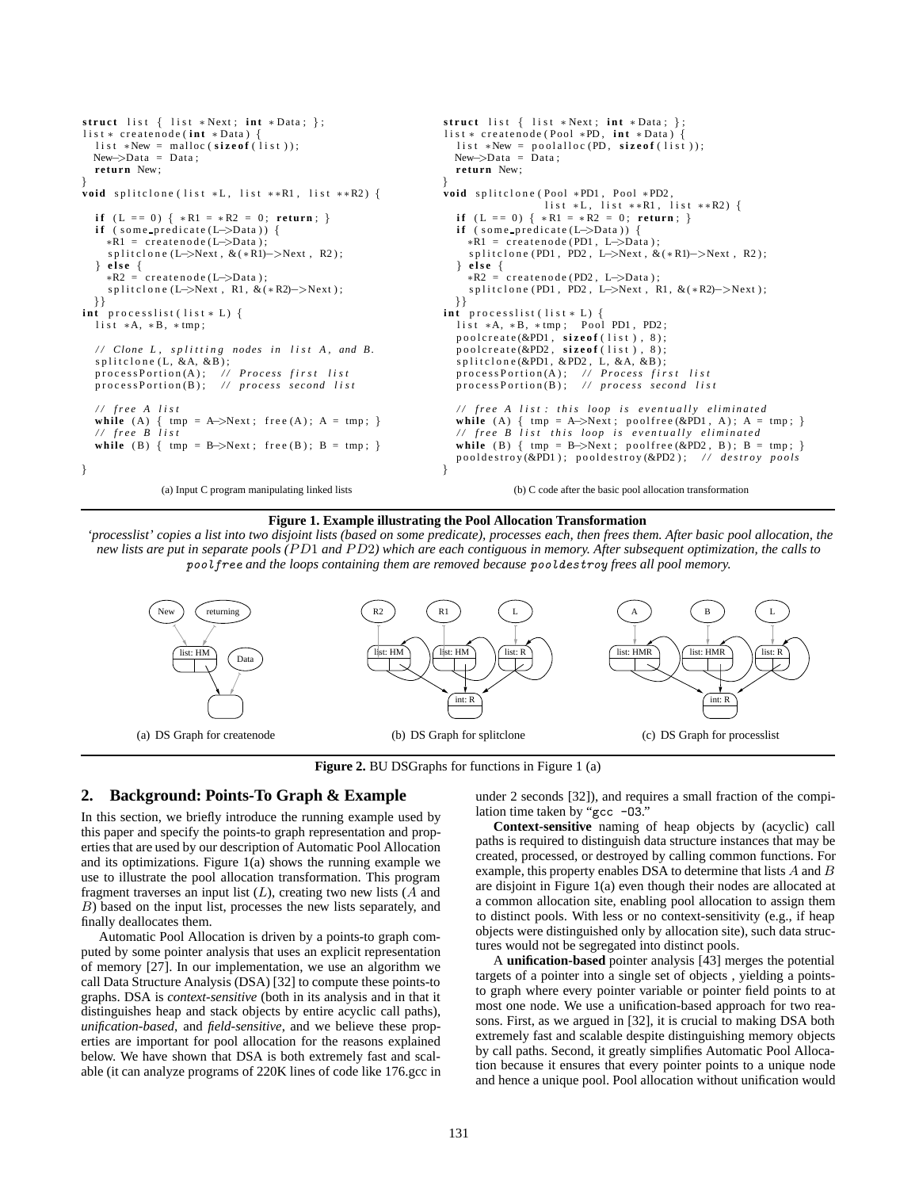```
struct list { list ∗ Next ; int ∗ Data ; } ;
list ∗ createnode( int ∗ Data ) {
  list ∗New = malloc ( sizeof ( list ));
  New−>Data = Data ;
  return New;
}
void splitclone (list *L, list **R1, list **R2) {
  if (L == 0) { *R1 = *R2 = 0; return; }
  i f ( some predicate(L−>Data )) {
     ∗R1 = c r e a t e n o d e (L−>Data );
     splitclone (L−>Next , &(∗R1)−>Next , R2 ) ;
  } else {
     ∗R2 = c r e a t e n o d e (L−>Data );
     splitclone (L−>Next , R1 , & (∗R2)−>Next );
  }}
int processlist ( list ∗ L ) {
  list *A, *B, * tmp;
  / / Clone L , sp l i t t i n g nodes in l i s t A , and B.
  s p l it c l o n e (L, & A, & B);<br>p rocess P ortion (A); //
                          processPortion (A) ; // Process f irst list
  processPortion(B) ; // process second list
     // free A list
  while (A) { tmp = A \rightarrow Next; free (A); A = tmp; }
  // free B list
  while (B) { tmp = B \rightarrow Next; free (B); B = tmp; }
}
                (a) Input C program manipulating linked lists
                                                                        struct list { list ∗ Next ; int ∗ Data ; } ;
                                                                        list ∗ createnode (Pool ∗PD , int ∗ Data ) {
                                                                          list * New = poolalloc (PD, sizeof (list));New−>Data = Data ;
                                                                          return New;
                                                                        }
                                                                        void splitclone ( Pool ∗PD1 , Pool ∗PD2 ,
                                                                                           list *L, list **R1, list **R2) {
                                                                          if (L == 0) { *R1 = *R2 = 0; return; }
                                                                          i f ( some predicate(L−>Data )) {
                                                                            ∗R1 = c r e a t e n o d e ( PD1 , L−>Data );
                                                                             s p l i t c l o n e ( PD1, PD2, L–>Next, & (*R1)−>Next, R2);
                                                                          } else {
                                                                            ∗R2 = c r e a t e n o d e ( PD2 , L−>Data );
                                                                            s p l i t c l o n e (PD1, PD2, L->Next, R1, & (*R2)->Next);
                                                                          }}
                                                                        int processlist ( list ∗ L ) {
                                                                          list *A, *B, *tmp; Pool PD1, PD2;
                                                                          poolcreate (&PD1, sizeof(list), 8);
                                                                          poolcreate (&PD2, size of (list), 8);s p l it c l o n e (\&PD1, \&PD2, L, \&A, \&B);
                                                                          processPortion (A) ; // Process f irst list
processPortion(B) ; // process second list
                                                                             // free A list : this loop is event ually eliminated
                                                                          while (A) { tmp = A \rightarrow Next; poolfree (&PD1, A); A = tmp; }
                                                                          // free B list this loop is eventually eliminated
                                                                          while (B) { tmp = B \rightarrow Next; poolfree (&PD2, B); B = tmp; }
                                                                          pooldestroy(&PD1); pooldestroy(&PD2); // destroy pools
                                                                       }
                                                                                     (b) C code after the basic pool allocation transformation
```


*'processlist' copies a list into two disjoint lists (based on some predicate), processes each, then frees them. After basic pool allocation, the new lists are put in separate pools (*P D1 *and* P D2*) which are each contiguous in memory. After subsequent optimization, the calls to poolfree and the loops containing them are removed because pooldestroy frees all pool memory.*



**Figure 2.** BU DSGraphs for functions in Figure 1 (a)

# **2. Background: Points-To Graph & Example**

In this section, we briefly introduce the running example used by this paper and specify the points-to graph representation and properties that are used by our description of Automatic Pool Allocation and its optimizations. Figure 1(a) shows the running example we use to illustrate the pool allocation transformation. This program fragment traverses an input list  $(L)$ , creating two new lists  $(A \text{ and }$ B) based on the input list, processes the new lists separately, and finally deallocates them.

Automatic Pool Allocation is driven by a points-to graph computed by some pointer analysis that uses an explicit representation of memory [27]. In our implementation, we use an algorithm we call Data Structure Analysis (DSA) [32] to compute these points-to graphs. DSA is *context-sensitive* (both in its analysis and in that it distinguishes heap and stack objects by entire acyclic call paths), *unification-based*, and *field-sensitive*, and we believe these properties are important for pool allocation for the reasons explained below. We have shown that DSA is both extremely fast and scalable (it can analyze programs of 220K lines of code like 176.gcc in under 2 seconds [32]), and requires a small fraction of the compilation time taken by "gcc -O3."

**Context-sensitive** naming of heap objects by (acyclic) call paths is required to distinguish data structure instances that may be created, processed, or destroyed by calling common functions. For example, this property enables DSA to determine that lists A and B are disjoint in Figure 1(a) even though their nodes are allocated at a common allocation site, enabling pool allocation to assign them to distinct pools. With less or no context-sensitivity (e.g., if heap objects were distinguished only by allocation site), such data structures would not be segregated into distinct pools.

A **unification-based** pointer analysis [43] merges the potential targets of a pointer into a single set of objects , yielding a pointsto graph where every pointer variable or pointer field points to at most one node. We use a unification-based approach for two reasons. First, as we argued in [32], it is crucial to making DSA both extremely fast and scalable despite distinguishing memory objects by call paths. Second, it greatly simplifies Automatic Pool Allocation because it ensures that every pointer points to a unique node and hence a unique pool. Pool allocation without unification would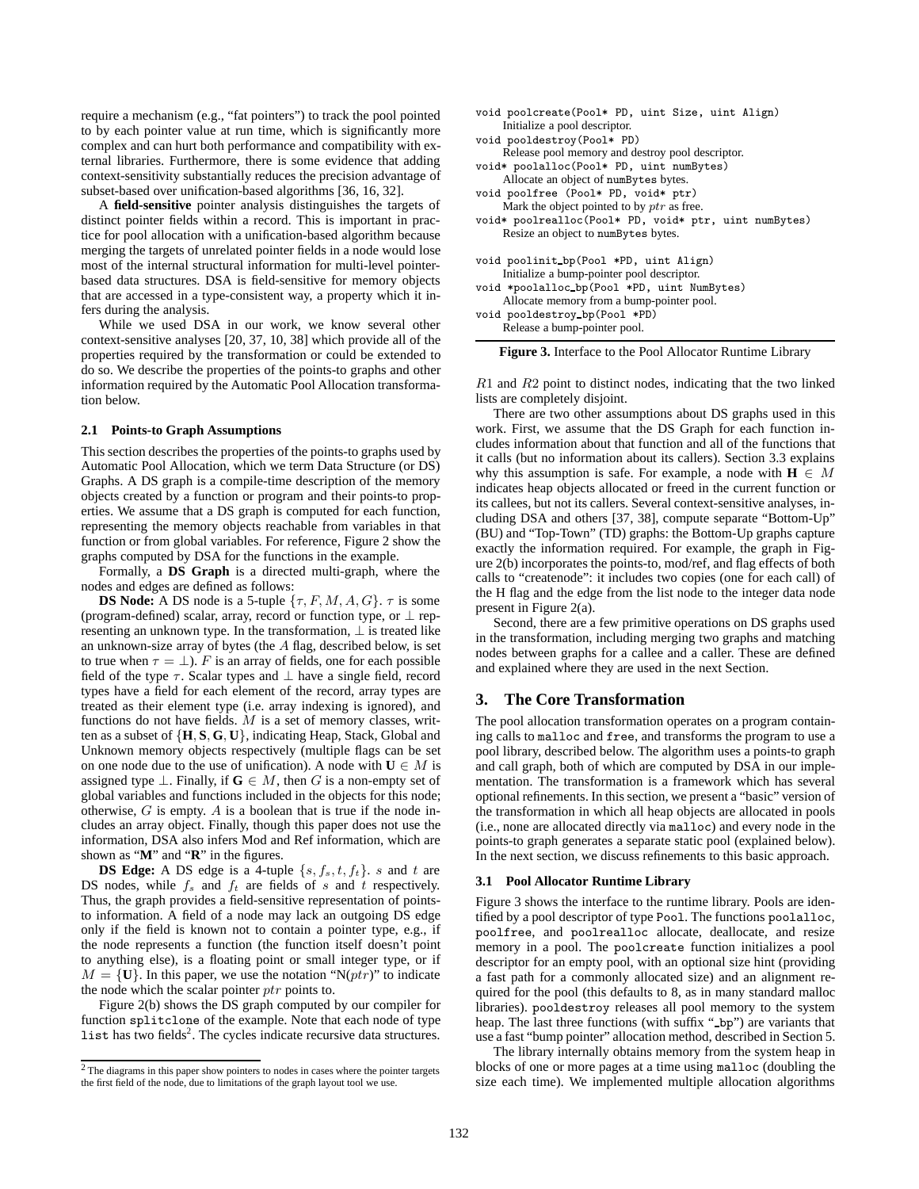require a mechanism (e.g., "fat pointers") to track the pool pointed to by each pointer value at run time, which is significantly more complex and can hurt both performance and compatibility with external libraries. Furthermore, there is some evidence that adding context-sensitivity substantially reduces the precision advantage of subset-based over unification-based algorithms [36, 16, 32].

A **field-sensitive** pointer analysis distinguishes the targets of distinct pointer fields within a record. This is important in practice for pool allocation with a unification-based algorithm because merging the targets of unrelated pointer fields in a node would lose most of the internal structural information for multi-level pointerbased data structures. DSA is field-sensitive for memory objects that are accessed in a type-consistent way, a property which it infers during the analysis.

While we used DSA in our work, we know several other context-sensitive analyses [20, 37, 10, 38] which provide all of the properties required by the transformation or could be extended to do so. We describe the properties of the points-to graphs and other information required by the Automatic Pool Allocation transformation below.

#### **2.1 Points-to Graph Assumptions**

This section describes the properties of the points-to graphs used by Automatic Pool Allocation, which we term Data Structure (or DS) Graphs. A DS graph is a compile-time description of the memory objects created by a function or program and their points-to properties. We assume that a DS graph is computed for each function, representing the memory objects reachable from variables in that function or from global variables. For reference, Figure 2 show the graphs computed by DSA for the functions in the example.

Formally, a **DS Graph** is a directed multi-graph, where the nodes and edges are defined as follows:

**DS Node:** A DS node is a 5-tuple  $\{\tau, F, M, A, G\}$ .  $\tau$  is some (program-defined) scalar, array, record or function type, or  $\perp$  representing an unknown type. In the transformation, ⊥ is treated like an unknown-size array of bytes (the A flag, described below, is set to true when  $\tau = \perp$ ). F is an array of fields, one for each possible field of the type  $\tau$ . Scalar types and  $\bot$  have a single field, record types have a field for each element of the record, array types are treated as their element type (i.e. array indexing is ignored), and functions do not have fields.  $M$  is a set of memory classes, written as a subset of {**H**, **S**, **G**, **U**}, indicating Heap, Stack, Global and Unknown memory objects respectively (multiple flags can be set on one node due to the use of unification). A node with  $U \in M$  is assigned type  $\bot$ . Finally, if  $G \in M$ , then G is a non-empty set of global variables and functions included in the objects for this node; otherwise,  $G$  is empty.  $A$  is a boolean that is true if the node includes an array object. Finally, though this paper does not use the information, DSA also infers Mod and Ref information, which are shown as "**M**" and "**R**" in the figures.

**DS Edge:** A DS edge is a 4-tuple  $\{s, f_s, t, f_t\}$ . s and t are DS nodes, while  $f_s$  and  $f_t$  are fields of  $s$  and  $t$  respectively. Thus, the graph provides a field-sensitive representation of pointsto information. A field of a node may lack an outgoing DS edge only if the field is known not to contain a pointer type, e.g., if the node represents a function (the function itself doesn't point to anything else), is a floating point or small integer type, or if  $M = \{U\}$ . In this paper, we use the notation "N(*ptr*)" to indicate the node which the scalar pointer ptr points to.

Figure 2(b) shows the DS graph computed by our compiler for function splitclone of the example. Note that each node of type list has two fields<sup>2</sup>. The cycles indicate recursive data structures.

| void poolcreate (Pool* PD, uint Size, uint Align)<br>Initialize a pool descriptor. |
|------------------------------------------------------------------------------------|
| void pooldestroy(Pool* PD)                                                         |
| Release pool memory and destroy pool descriptor.                                   |
| void* poolalloc(Pool* PD, uint numBytes)                                           |
| Allocate an object of numBytes bytes.                                              |
| void poolfree (Pool* PD, void* ptr)                                                |
| Mark the object pointed to by $ptr$ as free.                                       |
| void* poolrealloc(Pool* PD, void* ptr, uint numBytes)                              |
| Resize an object to numBytes bytes.                                                |
| void poolinit_bp(Pool *PD, uint Align)                                             |
| Initialize a bump-pointer pool descriptor.                                         |
| void *poolalloc_bp(Pool *PD, uint NumBytes)                                        |
| Allocate memory from a bump-pointer pool.                                          |
| void pooldestroy_bp(Pool *PD)                                                      |
| Release a bump-pointer pool.                                                       |

**Figure 3.** Interface to the Pool Allocator Runtime Library

 $R1$  and  $R2$  point to distinct nodes, indicating that the two linked lists are completely disjoint.

There are two other assumptions about DS graphs used in this work. First, we assume that the DS Graph for each function includes information about that function and all of the functions that it calls (but no information about its callers). Section 3.3 explains why this assumption is safe. For example, a node with  $H \in M$ indicates heap objects allocated or freed in the current function or its callees, but not its callers. Several context-sensitive analyses, including DSA and others [37, 38], compute separate "Bottom-Up" (BU) and "Top-Town" (TD) graphs: the Bottom-Up graphs capture exactly the information required. For example, the graph in Figure 2(b) incorporates the points-to, mod/ref, and flag effects of both calls to "createnode": it includes two copies (one for each call) of the H flag and the edge from the list node to the integer data node present in Figure 2(a).

Second, there are a few primitive operations on DS graphs used in the transformation, including merging two graphs and matching nodes between graphs for a callee and a caller. These are defined and explained where they are used in the next Section.

#### **3. The Core Transformation**

The pool allocation transformation operates on a program containing calls to malloc and free, and transforms the program to use a pool library, described below. The algorithm uses a points-to graph and call graph, both of which are computed by DSA in our implementation. The transformation is a framework which has several optional refinements. In this section, we present a "basic" version of the transformation in which all heap objects are allocated in pools (i.e., none are allocated directly via malloc) and every node in the points-to graph generates a separate static pool (explained below). In the next section, we discuss refinements to this basic approach.

#### **3.1 Pool Allocator Runtime Library**

Figure 3 shows the interface to the runtime library. Pools are identified by a pool descriptor of type Pool. The functions poolalloc, poolfree, and poolrealloc allocate, deallocate, and resize memory in a pool. The poolcreate function initializes a pool descriptor for an empty pool, with an optional size hint (providing a fast path for a commonly allocated size) and an alignment required for the pool (this defaults to 8, as in many standard malloc libraries). pooldestroy releases all pool memory to the system heap. The last three functions (with suffix "\_bp") are variants that use a fast "bump pointer" allocation method, described in Section 5.

The library internally obtains memory from the system heap in blocks of one or more pages at a time using malloc (doubling the size each time). We implemented multiple allocation algorithms

 $2$  The diagrams in this paper show pointers to nodes in cases where the pointer targets the first field of the node, due to limitations of the graph layout tool we use.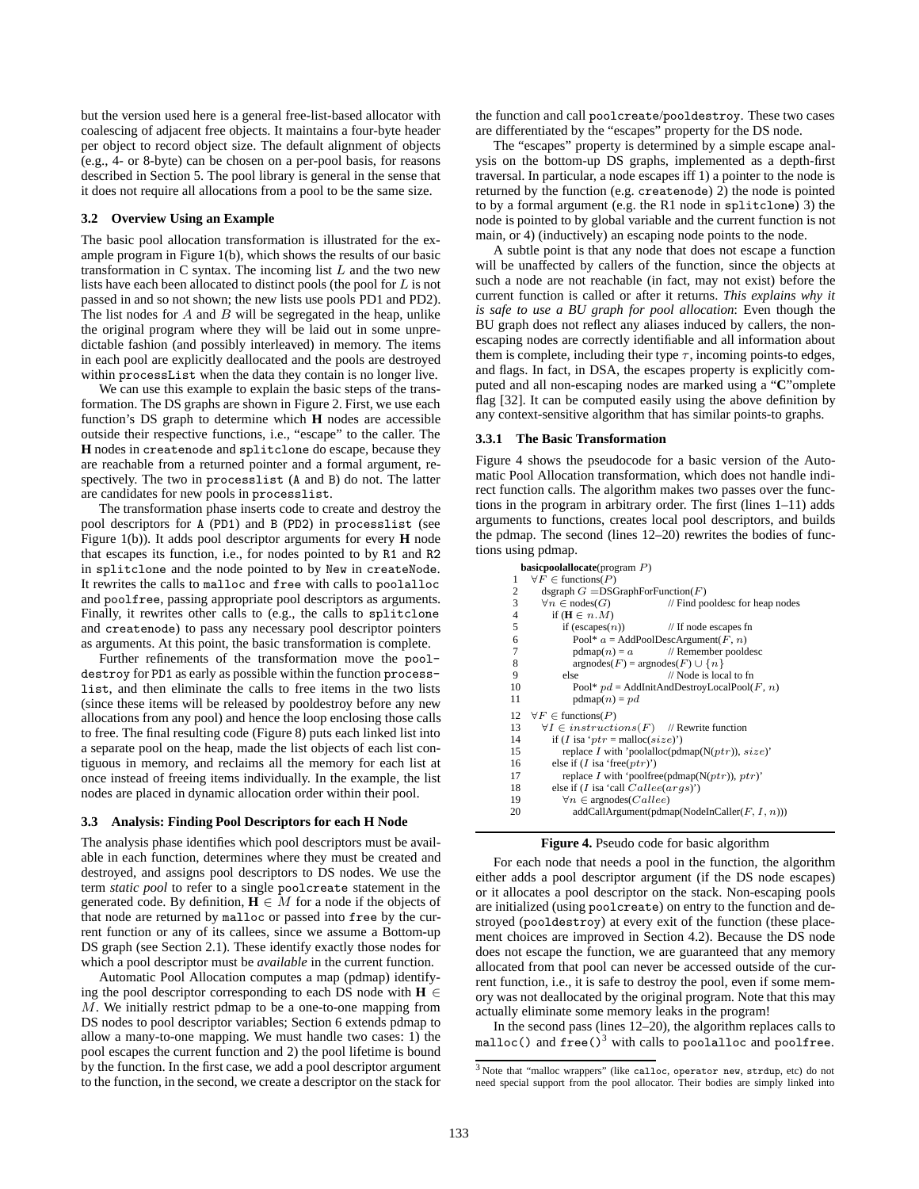but the version used here is a general free-list-based allocator with coalescing of adjacent free objects. It maintains a four-byte header per object to record object size. The default alignment of objects (e.g., 4- or 8-byte) can be chosen on a per-pool basis, for reasons described in Section 5. The pool library is general in the sense that it does not require all allocations from a pool to be the same size.

#### **3.2 Overview Using an Example**

The basic pool allocation transformation is illustrated for the example program in Figure 1(b), which shows the results of our basic transformation in  $C$  syntax. The incoming list  $L$  and the two new lists have each been allocated to distinct pools (the pool for L is not passed in and so not shown; the new lists use pools PD1 and PD2). The list nodes for  $A$  and  $B$  will be segregated in the heap, unlike the original program where they will be laid out in some unpredictable fashion (and possibly interleaved) in memory. The items in each pool are explicitly deallocated and the pools are destroyed within processList when the data they contain is no longer live.

We can use this example to explain the basic steps of the transformation. The DS graphs are shown in Figure 2. First, we use each function's DS graph to determine which **H** nodes are accessible outside their respective functions, i.e., "escape" to the caller. The **H** nodes in createnode and splitclone do escape, because they are reachable from a returned pointer and a formal argument, respectively. The two in processlist (A and B) do not. The latter are candidates for new pools in processlist.

The transformation phase inserts code to create and destroy the pool descriptors for A (PD1) and B (PD2) in processlist (see Figure 1(b)). It adds pool descriptor arguments for every **H** node that escapes its function, i.e., for nodes pointed to by R1 and R2 in splitclone and the node pointed to by New in createNode. It rewrites the calls to malloc and free with calls to poolalloc and poolfree, passing appropriate pool descriptors as arguments. Finally, it rewrites other calls to (e.g., the calls to splitclone and createnode) to pass any necessary pool descriptor pointers as arguments. At this point, the basic transformation is complete.

Further refinements of the transformation move the pooldestroy for PD1 as early as possible within the function processlist, and then eliminate the calls to free items in the two lists (since these items will be released by pooldestroy before any new allocations from any pool) and hence the loop enclosing those calls to free. The final resulting code (Figure 8) puts each linked list into a separate pool on the heap, made the list objects of each list contiguous in memory, and reclaims all the memory for each list at once instead of freeing items individually. In the example, the list nodes are placed in dynamic allocation order within their pool.

#### **3.3 Analysis: Finding Pool Descriptors for each H Node**

The analysis phase identifies which pool descriptors must be available in each function, determines where they must be created and destroyed, and assigns pool descriptors to DS nodes. We use the term *static pool* to refer to a single poolcreate statement in the generated code. By definition,  $\mathbf{H} \in M$  for a node if the objects of that node are returned by malloc or passed into free by the current function or any of its callees, since we assume a Bottom-up DS graph (see Section 2.1). These identify exactly those nodes for which a pool descriptor must be *available* in the current function.

Automatic Pool Allocation computes a map (pdmap) identifying the pool descriptor corresponding to each DS node with  $\mathbf{H} \in$ M. We initially restrict pdmap to be a one-to-one mapping from DS nodes to pool descriptor variables; Section 6 extends pdmap to allow a many-to-one mapping. We must handle two cases: 1) the pool escapes the current function and 2) the pool lifetime is bound by the function. In the first case, we add a pool descriptor argument to the function, in the second, we create a descriptor on the stack for the function and call poolcreate/pooldestroy. These two cases are differentiated by the "escapes" property for the DS node.

The "escapes" property is determined by a simple escape analysis on the bottom-up DS graphs, implemented as a depth-first traversal. In particular, a node escapes iff 1) a pointer to the node is returned by the function (e.g. createnode) 2) the node is pointed to by a formal argument (e.g. the R1 node in splitclone) 3) the node is pointed to by global variable and the current function is not main, or 4) (inductively) an escaping node points to the node.

A subtle point is that any node that does not escape a function will be unaffected by callers of the function, since the objects at such a node are not reachable (in fact, may not exist) before the current function is called or after it returns. *This explains why it is safe to use a BU graph for pool allocation*: Even though the BU graph does not reflect any aliases induced by callers, the nonescaping nodes are correctly identifiable and all information about them is complete, including their type  $\tau$ , incoming points-to edges, and flags. In fact, in DSA, the escapes property is explicitly computed and all non-escaping nodes are marked using a "**C**"omplete flag [32]. It can be computed easily using the above definition by any context-sensitive algorithm that has similar points-to graphs.

## **3.3.1 The Basic Transformation**

Figure 4 shows the pseudocode for a basic version of the Automatic Pool Allocation transformation, which does not handle indirect function calls. The algorithm makes two passes over the functions in the program in arbitrary order. The first (lines 1–11) adds arguments to functions, creates local pool descriptors, and builds the pdmap. The second (lines 12–20) rewrites the bodies of functions using pdmap.

|                | <b>basic poolallocate</b> (program $P$ )               |                                                        |
|----------------|--------------------------------------------------------|--------------------------------------------------------|
| 1              | $\forall F \in \text{functions}(P)$                    |                                                        |
| $\overline{c}$ | dsgraph $G = DSGraphForFunction(F)$                    |                                                        |
| 3              | $\forall n \in \text{nodes}(G)$                        | // Find pooldesc for heap nodes                        |
| $\overline{4}$ | if $(\mathbf{H} \in n.M)$                              |                                                        |
| 5              | if $(escapes(n))$ // If node escapes fn                |                                                        |
| 6              | Pool* $a =$ AddPoolDescArgument( <i>F</i> , <i>n</i> ) |                                                        |
| $\overline{7}$ |                                                        | $pdmap(n) = a$ // Remember pooldesc                    |
| 8              | $argnodes(F) = argnodes(F) \cup \{n\}$                 |                                                        |
| 9              | else                                                   | // Node is local to fn                                 |
| 10             |                                                        | Pool* $pd =$ AddInitAndDestroyLocalPool(F, n)          |
| 11             | $pdmap(n) = pd$                                        |                                                        |
| 12             | $\forall F \in \text{functions}(P)$                    |                                                        |
| 13             | $\forall I \in instructions(F)$ // Rewrite function    |                                                        |
| 14             | if ( <i>I</i> is<br>a ' $ptr = \text{malloc}(size)$ ') |                                                        |
| 15             |                                                        | replace I with 'poolalloc(pdmap( $N(ptr)$ ), $size$ )' |
| 16             | else if ( <i>I</i> is a 'free( $ptr$ )')               |                                                        |
| 17             |                                                        | replace I with 'poolfree(pdmap( $N(ptr)$ ), $ptr$ )'   |
| 18             | else if (I is a' call $Callee(args)$ ')                |                                                        |
| 19             | $\forall n \in \text{argnodes}(Callee)$                |                                                        |
| 20             |                                                        | addCallArgument(pdmap(NodeInCaller( $F, I, n$ )))      |

**Figure 4.** Pseudo code for basic algorithm

For each node that needs a pool in the function, the algorithm either adds a pool descriptor argument (if the DS node escapes) or it allocates a pool descriptor on the stack. Non-escaping pools are initialized (using poolcreate) on entry to the function and destroyed (pooldestroy) at every exit of the function (these placement choices are improved in Section 4.2). Because the DS node does not escape the function, we are guaranteed that any memory allocated from that pool can never be accessed outside of the current function, i.e., it is safe to destroy the pool, even if some memory was not deallocated by the original program. Note that this may actually eliminate some memory leaks in the program!

In the second pass (lines 12–20), the algorithm replaces calls to malloc() and  $free()$ <sup>3</sup> with calls to poolalloc and poolfree.

<sup>3</sup> Note that "malloc wrappers" (like calloc, operator new, strdup, etc) do not need special support from the pool allocator. Their bodies are simply linked into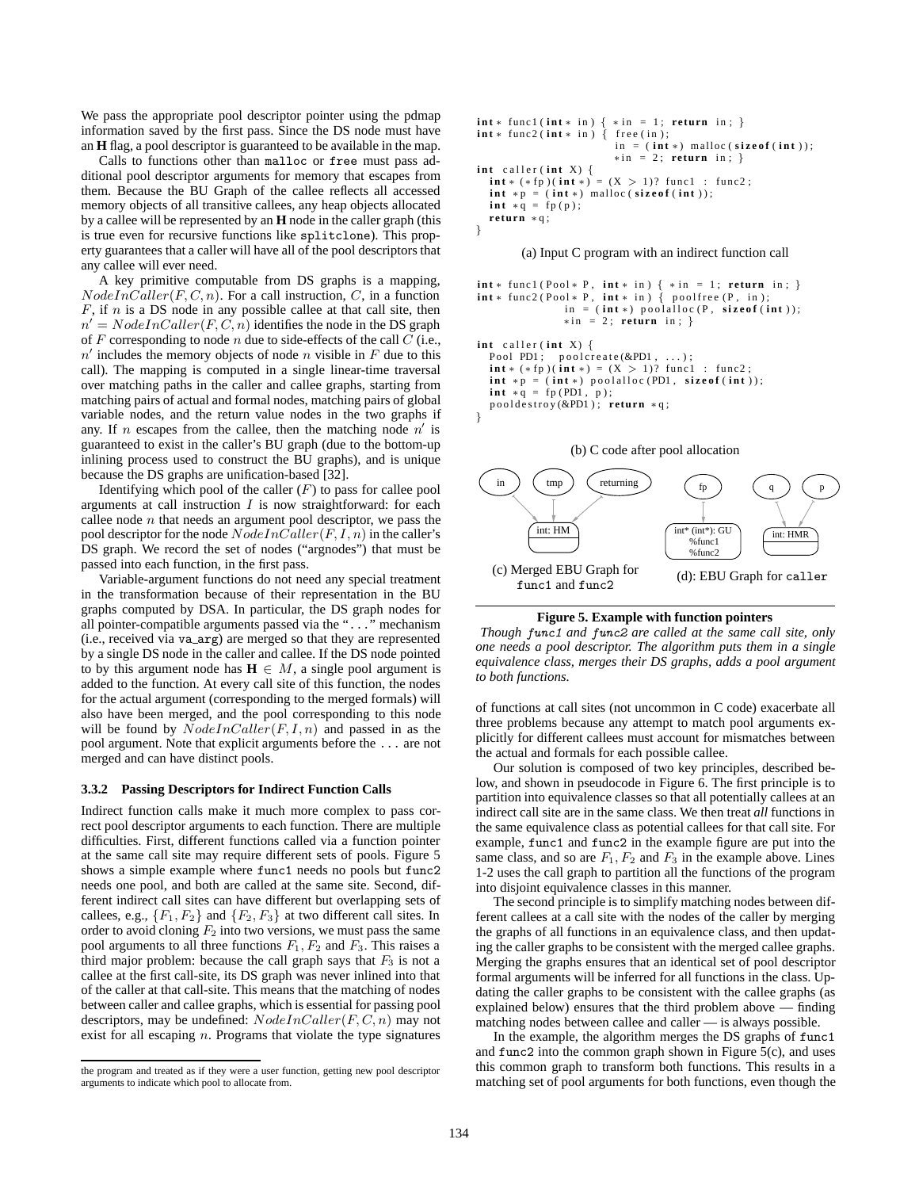We pass the appropriate pool descriptor pointer using the pdmap information saved by the first pass. Since the DS node must have an **H** flag, a pool descriptor is guaranteed to be available in the map.

Calls to functions other than malloc or free must pass additional pool descriptor arguments for memory that escapes from them. Because the BU Graph of the callee reflects all accessed memory objects of all transitive callees, any heap objects allocated by a callee will be represented by an **H** node in the caller graph (this is true even for recursive functions like splitclone). This property guarantees that a caller will have all of the pool descriptors that any callee will ever need.

A key primitive computable from DS graphs is a mapping,  $NodeInCaller(F, C, n)$ . For a call instruction, C, in a function  $F$ , if  $n$  is a DS node in any possible callee at that call site, then  $n' = NodeInCaller(F, C, n)$  identifies the node in the DS graph of  $F$  corresponding to node  $n$  due to side-effects of the call  $C$  (i.e.,  $n'$  includes the memory objects of node n visible in F due to this call). The mapping is computed in a single linear-time traversal over matching paths in the caller and callee graphs, starting from matching pairs of actual and formal nodes, matching pairs of global variable nodes, and the return value nodes in the two graphs if any. If n escapes from the callee, then the matching node  $n'$  is guaranteed to exist in the caller's BU graph (due to the bottom-up inlining process used to construct the BU graphs), and is unique because the DS graphs are unification-based [32].

Identifying which pool of the caller  $(F)$  to pass for callee pool arguments at call instruction  $I$  is now straightforward: for each callee node  $n$  that needs an argument pool descriptor, we pass the pool descriptor for the node  $NodeInCaller(F, I, n)$  in the caller's DS graph. We record the set of nodes ("argnodes") that must be passed into each function, in the first pass.

Variable-argument functions do not need any special treatment in the transformation because of their representation in the BU graphs computed by DSA. In particular, the DS graph nodes for all pointer-compatible arguments passed via the "..." mechanism (i.e., received via va arg) are merged so that they are represented by a single DS node in the caller and callee. If the DS node pointed to by this argument node has  $\mathbf{H} \in M$ , a single pool argument is added to the function. At every call site of this function, the nodes for the actual argument (corresponding to the merged formals) will also have been merged, and the pool corresponding to this node will be found by  $NodeInCaller(F, I, n)$  and passed in as the pool argument. Note that explicit arguments before the ... are not merged and can have distinct pools.

## **3.3.2 Passing Descriptors for Indirect Function Calls**

Indirect function calls make it much more complex to pass correct pool descriptor arguments to each function. There are multiple difficulties. First, different functions called via a function pointer at the same call site may require different sets of pools. Figure 5 shows a simple example where func1 needs no pools but func2 needs one pool, and both are called at the same site. Second, different indirect call sites can have different but overlapping sets of callees, e.g.,  ${F_1, F_2}$  and  ${F_2, F_3}$  at two different call sites. In order to avoid cloning  $F_2$  into two versions, we must pass the same pool arguments to all three functions  $F_1, F_2$  and  $F_3$ . This raises a third major problem: because the call graph says that  $F_3$  is not a callee at the first call-site, its DS graph was never inlined into that of the caller at that call-site. This means that the matching of nodes between caller and callee graphs, which is essential for passing pool descriptors, may be undefined:  $NodeInCaller(F, C, n)$  may not exist for all escaping  $n$ . Programs that violate the type signatures

```
int * func1 (int * in) { * in = 1; return in; } int * func2 (int * in) { free (in);
\mathbf{int} * \mathbf{func2} (\mathbf{int} * \mathbf{in}) \}in = ( int ∗ ) malloc ( sizeof ( int ));
                                ∗ in = 2; return in ; }
int caller ( int X) {
  int * (* fp)(int*) = (X > 1)? func1 : func2;
   int * p = (int *) \text{ malloc} (size of (int));int * q = fp(p);
  return ∗ q ;
}
```
#### (a) Input C program with an indirect function call

```
int ∗ func1 ( Pool ∗ P , int ∗ in ) { ∗ in = 1; return in ; }
int * func2 (Pool * P, int * in) { poolfree (P, in);
               in = (int*) poolalloc(P, sizeof(int));
               ∗ in = 2; return in ; }
int caller ( int X) {
  Pool PD1; poolcreate (&PD1, ...);
  int * (* fp)(\text{int} *) = (X > 1)? func1 : func2;
  int * p = (int*) poola lloc (PDI, sizeof(int));int *q = fp(PD1, p);
 pooldestroy(&PD1); return *q;
}
```






*Though func1 and func2 are called at the same call site, only one needs a pool descriptor. The algorithm puts them in a single equivalence class, merges their DS graphs, adds a pool argument to both functions.*

of functions at call sites (not uncommon in C code) exacerbate all three problems because any attempt to match pool arguments explicitly for different callees must account for mismatches between the actual and formals for each possible callee.

Our solution is composed of two key principles, described below, and shown in pseudocode in Figure 6. The first principle is to partition into equivalence classes so that all potentially callees at an indirect call site are in the same class. We then treat *all* functions in the same equivalence class as potential callees for that call site. For example, func1 and func2 in the example figure are put into the same class, and so are  $F_1, F_2$  and  $F_3$  in the example above. Lines 1-2 uses the call graph to partition all the functions of the program into disjoint equivalence classes in this manner.

The second principle is to simplify matching nodes between different callees at a call site with the nodes of the caller by merging the graphs of all functions in an equivalence class, and then updating the caller graphs to be consistent with the merged callee graphs. Merging the graphs ensures that an identical set of pool descriptor formal arguments will be inferred for all functions in the class. Updating the caller graphs to be consistent with the callee graphs (as explained below) ensures that the third problem above — finding matching nodes between callee and caller — is always possible.

In the example, the algorithm merges the DS graphs of func1 and func2 into the common graph shown in Figure 5(c), and uses this common graph to transform both functions. This results in a matching set of pool arguments for both functions, even though the

the program and treated as if they were a user function, getting new pool descriptor arguments to indicate which pool to allocate from.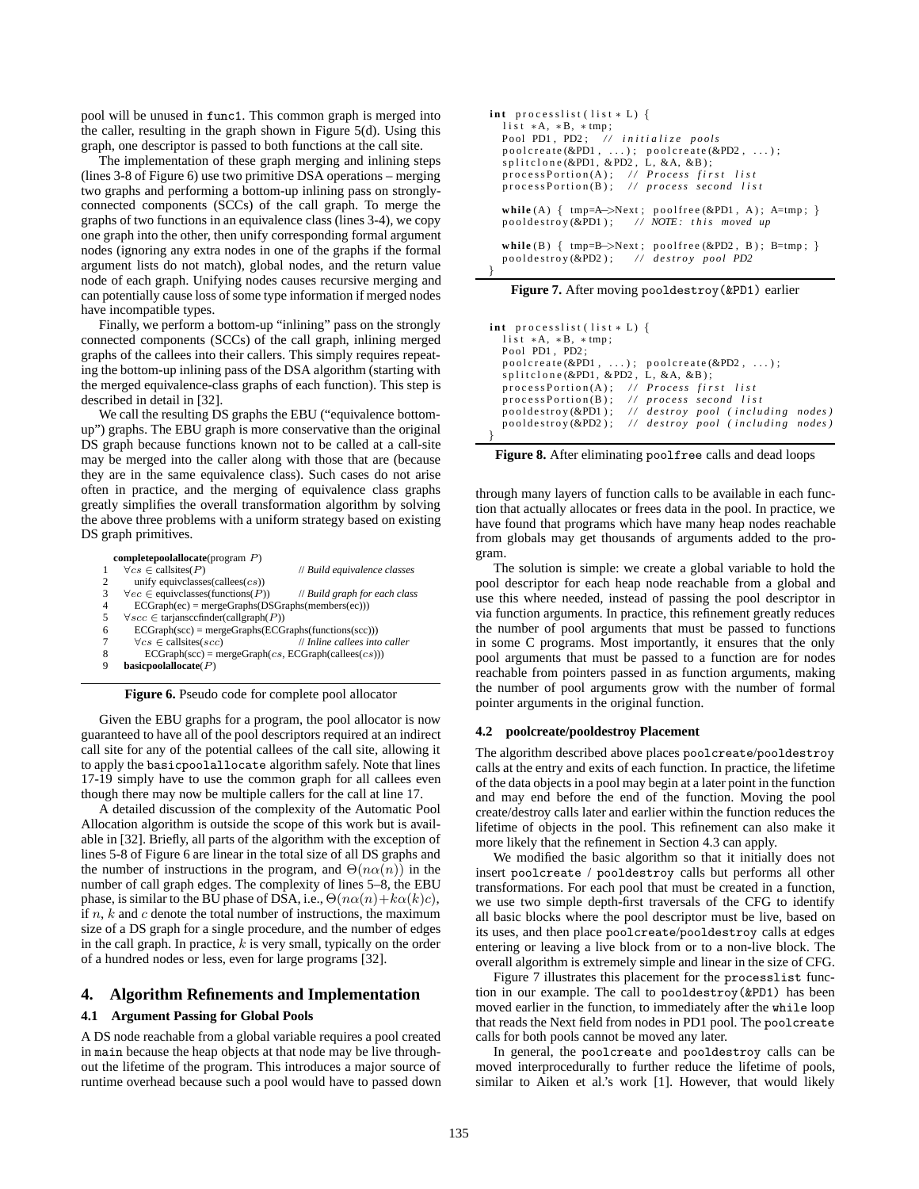pool will be unused in func1. This common graph is merged into the caller, resulting in the graph shown in Figure 5(d). Using this graph, one descriptor is passed to both functions at the call site.

The implementation of these graph merging and inlining steps (lines 3-8 of Figure 6) use two primitive DSA operations – merging two graphs and performing a bottom-up inlining pass on stronglyconnected components (SCCs) of the call graph. To merge the graphs of two functions in an equivalence class (lines 3-4), we copy one graph into the other, then unify corresponding formal argument nodes (ignoring any extra nodes in one of the graphs if the formal argument lists do not match), global nodes, and the return value node of each graph. Unifying nodes causes recursive merging and can potentially cause loss of some type information if merged nodes have incompatible types.

Finally, we perform a bottom-up "inlining" pass on the strongly connected components (SCCs) of the call graph, inlining merged graphs of the callees into their callers. This simply requires repeating the bottom-up inlining pass of the DSA algorithm (starting with the merged equivalence-class graphs of each function). This step is described in detail in [32].

We call the resulting DS graphs the EBU ("equivalence bottomup") graphs. The EBU graph is more conservative than the original DS graph because functions known not to be called at a call-site may be merged into the caller along with those that are (because they are in the same equivalence class). Such cases do not arise often in practice, and the merging of equivalence class graphs greatly simplifies the overall transformation algorithm by solving the above three problems with a uniform strategy based on existing DS graph primitives.

```
\begin{array}{c} \mbox{\bf complete poolalloc}(\mbox{program }P)\\ \forall cs\in\mbox{calsites}(P) \end{array}1 ∀cs ∈ callsites(P ) // Build equivalence classes
2 unify equivclasses(callees(cs))<br>3 \forall ec \in \text{equivclasses}(\text{functions}(P))\forall ec \in \text{equivclasses}(\text{functions}(P)) // Build graph for each class<br>4 FCGraph(ec) = mergeGraphs(DSGraphs(members(ec)))
4 ECGraph(ec) = mergeGraphs(DSGraphs(members(ec)))<br>5 \forallscc \in tariansccfinder(calleraph(P))
         5 ∀scc ∈ tarjansccfinder(callgraph(P ))
6 ECGraph(scc) = mergeGraphs(ECGraphs(functions(scc)))<br>
7 \forall cs \in \text{callsl} \text{ sites}(scc) // Inline callees into
                                                                                     7 ∀cs ∈ callsites(scc) // Inline callees into caller
8 ECGraph(\text{csc}) = mergeGraph(\text{ccs}, ECGraph(callees(\text{ccs})))<br>9 basic poolallocate(P)
         9 basicpoolallocate(P )
```
**Figure 6.** Pseudo code for complete pool allocator

Given the EBU graphs for a program, the pool allocator is now guaranteed to have all of the pool descriptors required at an indirect call site for any of the potential callees of the call site, allowing it to apply the basicpoolallocate algorithm safely. Note that lines 17-19 simply have to use the common graph for all callees even though there may now be multiple callers for the call at line 17.

A detailed discussion of the complexity of the Automatic Pool Allocation algorithm is outside the scope of this work but is available in [32]. Briefly, all parts of the algorithm with the exception of lines 5-8 of Figure 6 are linear in the total size of all DS graphs and the number of instructions in the program, and  $\Theta(n\alpha(n))$  in the number of call graph edges. The complexity of lines 5–8, the EBU phase, is similar to the BU phase of DSA, i.e.,  $\Theta(n\alpha(n)+k\alpha(k)c)$ , if  $n, k$  and  $c$  denote the total number of instructions, the maximum size of a DS graph for a single procedure, and the number of edges in the call graph. In practice,  $k$  is very small, typically on the order of a hundred nodes or less, even for large programs [32].

# **4. Algorithm Refinements and Implementation**

## **4.1 Argument Passing for Global Pools**

A DS node reachable from a global variable requires a pool created in main because the heap objects at that node may be live throughout the lifetime of the program. This introduces a major source of runtime overhead because such a pool would have to passed down

```
int processlist ( list ∗ L ) {
  list ∗A, ∗B, ∗ tmp ;
  Pool PD1 , PD2 ; // initialize pools
  poolcreate(&PD1 , ...); poolcreate(&PD2 , ...);<br>splitclone(&PD1, &PD2 , L, &A, &B);
  processPortion(A) ; // Process first list
  processPortion(B) ; // process second list
  while (A) \{ tmp=A->Next ; poolfree(&PDI, A); A=tmp; \}pooldestroy (&PD1); // NOTE: this moved up
  while(B) { tmp=B->Next; poolfree(&PD2, B); B=tmp; }
  p o o l d e s t r o y (&PD2 ) ; // destroy pool PD2
```
#### **Figure 7.** After moving pooldestroy(&PD1) earlier

}

```
int processlist ( list ∗ L ) {
  list ∗A, ∗B, ∗ tmp ;
  Pool PD1, PD2;<br>poolcreate(&PD1,
                           (p); poolcreate (&PD2, \ldots);
  s p l it c l o n e (\& PD1, \& PD2, \dot{L}, \& A, \& B);
  processPortion(A) ; // Process first list
                            processPortion(B) ; // process second list
  pooldestroy (&PD1); // destroy pool (including nodes)
  pooldestroy(&PD2); // destroy pool (including nodes)
}
```
**Figure 8.** After eliminating poolfree calls and dead loops

through many layers of function calls to be available in each function that actually allocates or frees data in the pool. In practice, we have found that programs which have many heap nodes reachable from globals may get thousands of arguments added to the program.

The solution is simple: we create a global variable to hold the pool descriptor for each heap node reachable from a global and use this where needed, instead of passing the pool descriptor in via function arguments. In practice, this refinement greatly reduces the number of pool arguments that must be passed to functions in some C programs. Most importantly, it ensures that the only pool arguments that must be passed to a function are for nodes reachable from pointers passed in as function arguments, making the number of pool arguments grow with the number of formal pointer arguments in the original function.

#### **4.2 poolcreate/pooldestroy Placement**

The algorithm described above places poolcreate/pooldestroy calls at the entry and exits of each function. In practice, the lifetime of the data objects in a pool may begin at a later point in the function and may end before the end of the function. Moving the pool create/destroy calls later and earlier within the function reduces the lifetime of objects in the pool. This refinement can also make it more likely that the refinement in Section 4.3 can apply.

We modified the basic algorithm so that it initially does not insert poolcreate / pooldestroy calls but performs all other transformations. For each pool that must be created in a function, we use two simple depth-first traversals of the CFG to identify all basic blocks where the pool descriptor must be live, based on its uses, and then place poolcreate/pooldestroy calls at edges entering or leaving a live block from or to a non-live block. The overall algorithm is extremely simple and linear in the size of CFG.

Figure 7 illustrates this placement for the processlist function in our example. The call to pooldestroy(&PD1) has been moved earlier in the function, to immediately after the while loop that reads the Next field from nodes in PD1 pool. The poolcreate calls for both pools cannot be moved any later.

In general, the poolcreate and pooldestroy calls can be moved interprocedurally to further reduce the lifetime of pools, similar to Aiken et al.'s work [1]. However, that would likely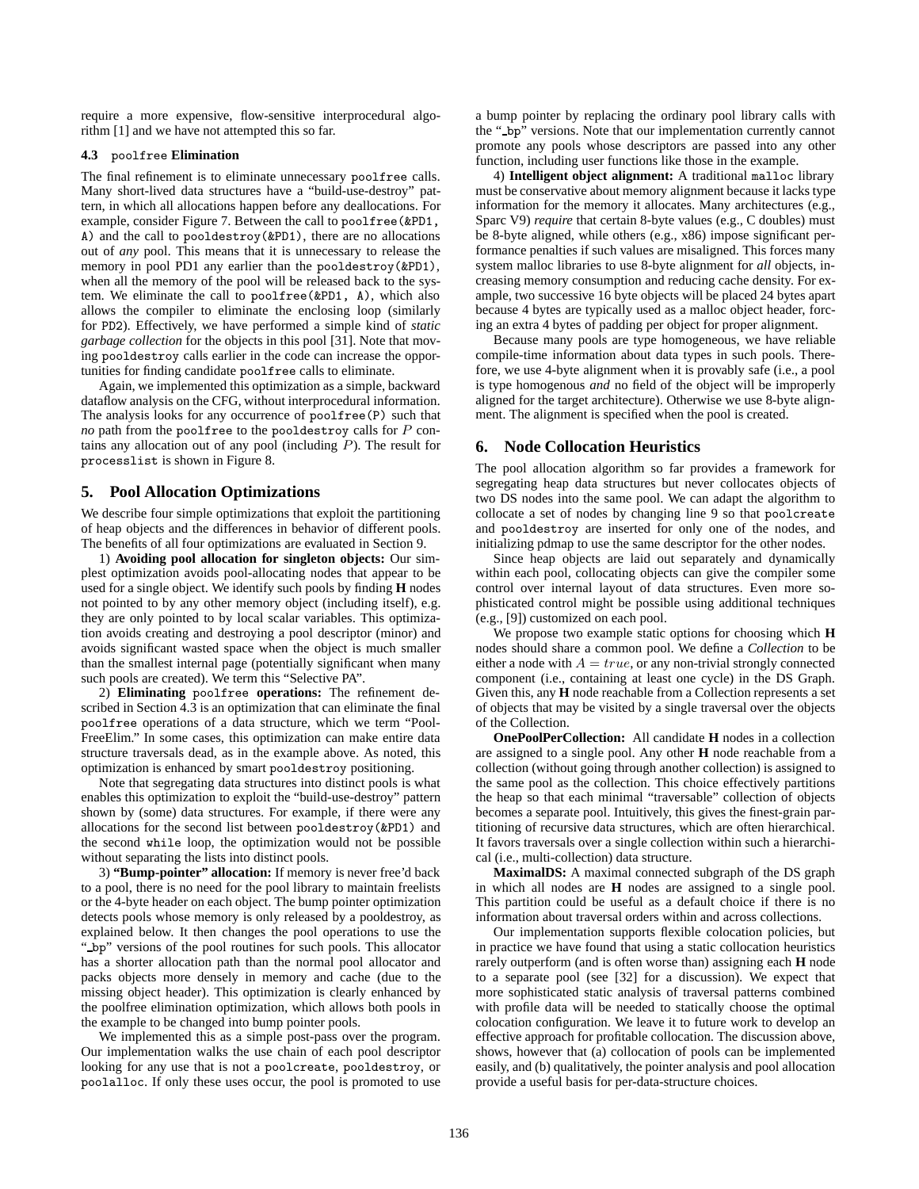require a more expensive, flow-sensitive interprocedural algorithm [1] and we have not attempted this so far.

## **4.3** poolfree **Elimination**

The final refinement is to eliminate unnecessary poolfree calls. Many short-lived data structures have a "build-use-destroy" pattern, in which all allocations happen before any deallocations. For example, consider Figure 7. Between the call to poolfree(&PD1, A) and the call to pooldestroy(&PD1), there are no allocations out of *any* pool. This means that it is unnecessary to release the memory in pool PD1 any earlier than the pooldestroy(&PD1), when all the memory of the pool will be released back to the system. We eliminate the call to poolfree(&PD1, A), which also allows the compiler to eliminate the enclosing loop (similarly for PD2). Effectively, we have performed a simple kind of *static garbage collection* for the objects in this pool [31]. Note that moving pooldestroy calls earlier in the code can increase the opportunities for finding candidate poolfree calls to eliminate.

Again, we implemented this optimization as a simple, backward dataflow analysis on the CFG, without interprocedural information. The analysis looks for any occurrence of poolfree(P) such that *no* path from the poolfree to the pooldestroy calls for P contains any allocation out of any pool (including P). The result for processlist is shown in Figure 8.

# **5. Pool Allocation Optimizations**

We describe four simple optimizations that exploit the partitioning of heap objects and the differences in behavior of different pools. The benefits of all four optimizations are evaluated in Section 9.

1) **Avoiding pool allocation for singleton objects:** Our simplest optimization avoids pool-allocating nodes that appear to be used for a single object. We identify such pools by finding **H** nodes not pointed to by any other memory object (including itself), e.g. they are only pointed to by local scalar variables. This optimization avoids creating and destroying a pool descriptor (minor) and avoids significant wasted space when the object is much smaller than the smallest internal page (potentially significant when many such pools are created). We term this "Selective PA".

2) **Eliminating** poolfree **operations:** The refinement described in Section 4.3 is an optimization that can eliminate the final poolfree operations of a data structure, which we term "Pool-FreeElim." In some cases, this optimization can make entire data structure traversals dead, as in the example above. As noted, this optimization is enhanced by smart pooldestroy positioning.

Note that segregating data structures into distinct pools is what enables this optimization to exploit the "build-use-destroy" pattern shown by (some) data structures. For example, if there were any allocations for the second list between pooldestroy(&PD1) and the second while loop, the optimization would not be possible without separating the lists into distinct pools.

3) **"Bump-pointer" allocation:** If memory is never free'd back to a pool, there is no need for the pool library to maintain freelists or the 4-byte header on each object. The bump pointer optimization detects pools whose memory is only released by a pooldestroy, as explained below. It then changes the pool operations to use the " bp" versions of the pool routines for such pools. This allocator has a shorter allocation path than the normal pool allocator and packs objects more densely in memory and cache (due to the missing object header). This optimization is clearly enhanced by the poolfree elimination optimization, which allows both pools in the example to be changed into bump pointer pools.

We implemented this as a simple post-pass over the program. Our implementation walks the use chain of each pool descriptor looking for any use that is not a poolcreate, pooldestroy, or poolalloc. If only these uses occur, the pool is promoted to use a bump pointer by replacing the ordinary pool library calls with the " bp" versions. Note that our implementation currently cannot promote any pools whose descriptors are passed into any other function, including user functions like those in the example.

4) **Intelligent object alignment:** A traditional malloc library must be conservative about memory alignment because it lacks type information for the memory it allocates. Many architectures (e.g., Sparc V9) *require* that certain 8-byte values (e.g., C doubles) must be 8-byte aligned, while others (e.g., x86) impose significant performance penalties if such values are misaligned. This forces many system malloc libraries to use 8-byte alignment for *all* objects, increasing memory consumption and reducing cache density. For example, two successive 16 byte objects will be placed 24 bytes apart because 4 bytes are typically used as a malloc object header, forcing an extra 4 bytes of padding per object for proper alignment.

Because many pools are type homogeneous, we have reliable compile-time information about data types in such pools. Therefore, we use 4-byte alignment when it is provably safe (i.e., a pool is type homogenous *and* no field of the object will be improperly aligned for the target architecture). Otherwise we use 8-byte alignment. The alignment is specified when the pool is created.

# **6. Node Collocation Heuristics**

The pool allocation algorithm so far provides a framework for segregating heap data structures but never collocates objects of two DS nodes into the same pool. We can adapt the algorithm to collocate a set of nodes by changing line 9 so that poolcreate and pooldestroy are inserted for only one of the nodes, and initializing pdmap to use the same descriptor for the other nodes.

Since heap objects are laid out separately and dynamically within each pool, collocating objects can give the compiler some control over internal layout of data structures. Even more sophisticated control might be possible using additional techniques (e.g., [9]) customized on each pool.

We propose two example static options for choosing which **H** nodes should share a common pool. We define a *Collection* to be either a node with  $A = true$ , or any non-trivial strongly connected component (i.e., containing at least one cycle) in the DS Graph. Given this, any **H** node reachable from a Collection represents a set of objects that may be visited by a single traversal over the objects of the Collection.

**OnePoolPerCollection:** All candidate **H** nodes in a collection are assigned to a single pool. Any other **H** node reachable from a collection (without going through another collection) is assigned to the same pool as the collection. This choice effectively partitions the heap so that each minimal "traversable" collection of objects becomes a separate pool. Intuitively, this gives the finest-grain partitioning of recursive data structures, which are often hierarchical. It favors traversals over a single collection within such a hierarchical (i.e., multi-collection) data structure.

**MaximalDS:** A maximal connected subgraph of the DS graph in which all nodes are **H** nodes are assigned to a single pool. This partition could be useful as a default choice if there is no information about traversal orders within and across collections.

Our implementation supports flexible colocation policies, but in practice we have found that using a static collocation heuristics rarely outperform (and is often worse than) assigning each **H** node to a separate pool (see [32] for a discussion). We expect that more sophisticated static analysis of traversal patterns combined with profile data will be needed to statically choose the optimal colocation configuration. We leave it to future work to develop an effective approach for profitable collocation. The discussion above, shows, however that (a) collocation of pools can be implemented easily, and (b) qualitatively, the pointer analysis and pool allocation provide a useful basis for per-data-structure choices.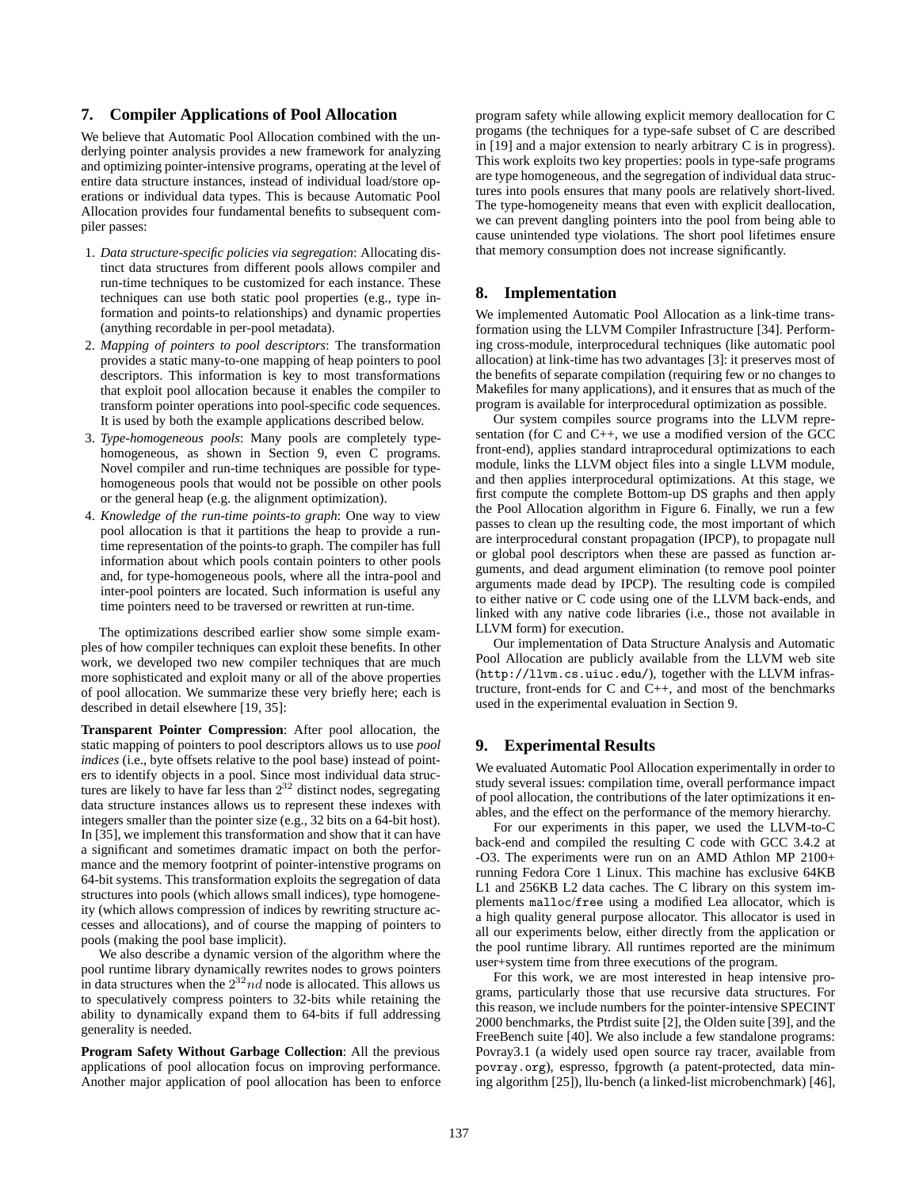# **7. Compiler Applications of Pool Allocation**

We believe that Automatic Pool Allocation combined with the underlying pointer analysis provides a new framework for analyzing and optimizing pointer-intensive programs, operating at the level of entire data structure instances, instead of individual load/store operations or individual data types. This is because Automatic Pool Allocation provides four fundamental benefits to subsequent compiler passes:

- 1. *Data structure-specific policies via segregation*: Allocating distinct data structures from different pools allows compiler and run-time techniques to be customized for each instance. These techniques can use both static pool properties (e.g., type information and points-to relationships) and dynamic properties (anything recordable in per-pool metadata).
- 2. *Mapping of pointers to pool descriptors*: The transformation provides a static many-to-one mapping of heap pointers to pool descriptors. This information is key to most transformations that exploit pool allocation because it enables the compiler to transform pointer operations into pool-specific code sequences. It is used by both the example applications described below.
- 3. *Type-homogeneous pools*: Many pools are completely typehomogeneous, as shown in Section 9, even C programs. Novel compiler and run-time techniques are possible for typehomogeneous pools that would not be possible on other pools or the general heap (e.g. the alignment optimization).
- 4. *Knowledge of the run-time points-to graph*: One way to view pool allocation is that it partitions the heap to provide a runtime representation of the points-to graph. The compiler has full information about which pools contain pointers to other pools and, for type-homogeneous pools, where all the intra-pool and inter-pool pointers are located. Such information is useful any time pointers need to be traversed or rewritten at run-time.

The optimizations described earlier show some simple examples of how compiler techniques can exploit these benefits. In other work, we developed two new compiler techniques that are much more sophisticated and exploit many or all of the above properties of pool allocation. We summarize these very briefly here; each is described in detail elsewhere [19, 35]:

**Transparent Pointer Compression**: After pool allocation, the static mapping of pointers to pool descriptors allows us to use *pool indices* (i.e., byte offsets relative to the pool base) instead of pointers to identify objects in a pool. Since most individual data structures are likely to have far less than  $2^{32}$  distinct nodes, segregating data structure instances allows us to represent these indexes with integers smaller than the pointer size (e.g., 32 bits on a 64-bit host). In [35], we implement this transformation and show that it can have a significant and sometimes dramatic impact on both the performance and the memory footprint of pointer-intenstive programs on 64-bit systems. This transformation exploits the segregation of data structures into pools (which allows small indices), type homogeneity (which allows compression of indices by rewriting structure accesses and allocations), and of course the mapping of pointers to pools (making the pool base implicit).

We also describe a dynamic version of the algorithm where the pool runtime library dynamically rewrites nodes to grows pointers in data structures when the  $2^{32}$ nd node is allocated. This allows us to speculatively compress pointers to 32-bits while retaining the ability to dynamically expand them to 64-bits if full addressing generality is needed.

**Program Safety Without Garbage Collection**: All the previous applications of pool allocation focus on improving performance. Another major application of pool allocation has been to enforce program safety while allowing explicit memory deallocation for C progams (the techniques for a type-safe subset of C are described in [19] and a major extension to nearly arbitrary C is in progress). This work exploits two key properties: pools in type-safe programs are type homogeneous, and the segregation of individual data structures into pools ensures that many pools are relatively short-lived. The type-homogeneity means that even with explicit deallocation, we can prevent dangling pointers into the pool from being able to cause unintended type violations. The short pool lifetimes ensure that memory consumption does not increase significantly.

# **8. Implementation**

We implemented Automatic Pool Allocation as a link-time transformation using the LLVM Compiler Infrastructure [34]. Performing cross-module, interprocedural techniques (like automatic pool allocation) at link-time has two advantages [3]: it preserves most of the benefits of separate compilation (requiring few or no changes to Makefiles for many applications), and it ensures that as much of the program is available for interprocedural optimization as possible.

Our system compiles source programs into the LLVM representation (for C and C++, we use a modified version of the GCC front-end), applies standard intraprocedural optimizations to each module, links the LLVM object files into a single LLVM module, and then applies interprocedural optimizations. At this stage, we first compute the complete Bottom-up DS graphs and then apply the Pool Allocation algorithm in Figure 6. Finally, we run a few passes to clean up the resulting code, the most important of which are interprocedural constant propagation (IPCP), to propagate null or global pool descriptors when these are passed as function arguments, and dead argument elimination (to remove pool pointer arguments made dead by IPCP). The resulting code is compiled to either native or C code using one of the LLVM back-ends, and linked with any native code libraries (i.e., those not available in LLVM form) for execution.

Our implementation of Data Structure Analysis and Automatic Pool Allocation are publicly available from the LLVM web site (http://llvm.cs.uiuc.edu/), together with the LLVM infrastructure, front-ends for C and C++, and most of the benchmarks used in the experimental evaluation in Section 9.

# **9. Experimental Results**

We evaluated Automatic Pool Allocation experimentally in order to study several issues: compilation time, overall performance impact of pool allocation, the contributions of the later optimizations it enables, and the effect on the performance of the memory hierarchy.

For our experiments in this paper, we used the LLVM-to-C back-end and compiled the resulting C code with GCC 3.4.2 at -O3. The experiments were run on an AMD Athlon MP 2100+ running Fedora Core 1 Linux. This machine has exclusive 64KB L1 and 256KB L2 data caches. The C library on this system implements malloc/free using a modified Lea allocator, which is a high quality general purpose allocator. This allocator is used in all our experiments below, either directly from the application or the pool runtime library. All runtimes reported are the minimum user+system time from three executions of the program.

For this work, we are most interested in heap intensive programs, particularly those that use recursive data structures. For this reason, we include numbers for the pointer-intensive SPECINT 2000 benchmarks, the Ptrdist suite [2], the Olden suite [39], and the FreeBench suite [40]. We also include a few standalone programs: Povray3.1 (a widely used open source ray tracer, available from povray.org), espresso, fpgrowth (a patent-protected, data mining algorithm [25]), llu-bench (a linked-list microbenchmark) [46],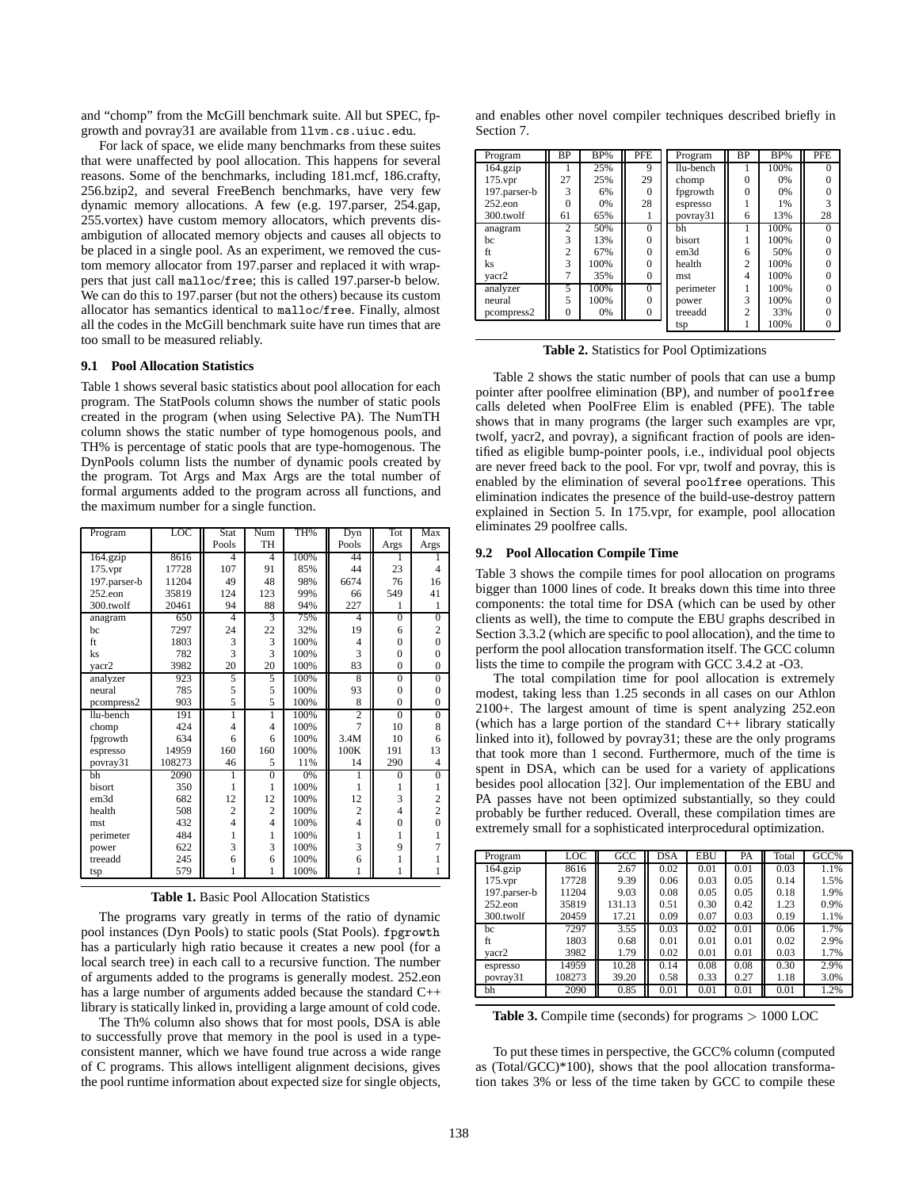and "chomp" from the McGill benchmark suite. All but SPEC, fpgrowth and povray31 are available from llvm.cs.uiuc.edu.

For lack of space, we elide many benchmarks from these suites that were unaffected by pool allocation. This happens for several reasons. Some of the benchmarks, including 181.mcf, 186.crafty, 256.bzip2, and several FreeBench benchmarks, have very few dynamic memory allocations. A few (e.g. 197.parser, 254.gap, 255.vortex) have custom memory allocators, which prevents disambigution of allocated memory objects and causes all objects to be placed in a single pool. As an experiment, we removed the custom memory allocator from 197.parser and replaced it with wrappers that just call malloc/free; this is called 197.parser-b below. We can do this to 197.parser (but not the others) because its custom allocator has semantics identical to malloc/free. Finally, almost all the codes in the McGill benchmark suite have run times that are too small to be measured reliably.

## **9.1 Pool Allocation Statistics**

Table 1 shows several basic statistics about pool allocation for each program. The StatPools column shows the number of static pools created in the program (when using Selective PA). The NumTH column shows the static number of type homogenous pools, and TH% is percentage of static pools that are type-homogenous. The DynPools column lists the number of dynamic pools created by the program. Tot Args and Max Args are the total number of formal arguments added to the program across all functions, and the maximum number for a single function.

| Program          | <b>LOC</b> | Stat           | Num            | TH%  | Dyn            | Tot            | Max            |
|------------------|------------|----------------|----------------|------|----------------|----------------|----------------|
|                  |            | Pools          | TH             |      | Pools          | Args           | Args           |
| $164$ .gzip      | 8616       | $\overline{4}$ | $\overline{4}$ | 100% | 44             |                |                |
| 175. vpr         | 17728      | 107            | 91             | 85%  | 44             | 23             | $\overline{4}$ |
| 197.parser-b     | 11204      | 49             | 48             | 98%  | 6674           | 76             | 16             |
| $252.$ eon       | 35819      | 124            | 123            | 99%  | 66             | 549            | 41             |
| 300.twolf        | 20461      | 94             | 88             | 94%  | 227            | 1              | 1              |
| anagram          | 650        | 4              | 3              | 75%  | 4              | $\overline{0}$ | $\overline{0}$ |
| bc               | 7297       | 24             | 22             | 32%  | 19             | 6              | $\overline{c}$ |
| ft               | 1803       | 3              | 3              | 100% | 4              | $\theta$       | $\theta$       |
| ks               | 782        | 3              | 3              | 100% | 3              | $\theta$       | $\theta$       |
| yacr2            | 3982       | 20             | 20             | 100% | 83             | $\theta$       | $\theta$       |
| analyzer         | 923        | 5              | 5              | 100% | 8              | $\overline{0}$ | $\overline{0}$ |
| neural           | 785        | 5              | 5              | 100% | 93             | $\theta$       | $\overline{0}$ |
| pcompress2       | 903        | 5              | 5              | 100% | 8              | $\overline{0}$ | $\overline{0}$ |
| llu-bench        | 191        | 1              | 1              | 100% | 2              | $\overline{0}$ | $\overline{0}$ |
| chomp            | 424        | $\overline{4}$ | $\overline{4}$ | 100% | $\overline{7}$ | 10             | 8              |
| fpgrowth         | 634        | 6              | 6              | 100% | 3.4M           | 10             | 6              |
| espresso         | 14959      | 160            | 160            | 100% | 100K           | 191            | 13             |
| povray31         | 108273     | 46             | 5              | 11%  | 14             | 290            | $\overline{4}$ |
| hh               | 2090       | 1              | $\theta$       | 0%   | 1              | $\Omega$       | $\overline{0}$ |
| bisort           | 350        | 1              | 1              | 100% | 1              | 1              | 1              |
| em <sub>3d</sub> | 682        | 12             | 12             | 100% | 12             | 3              | $\overline{c}$ |
| health           | 508        | $\overline{c}$ | $\overline{c}$ | 100% | $\overline{2}$ | 4              | $\overline{c}$ |
| mst              | 432        | $\overline{4}$ | $\overline{4}$ | 100% | $\overline{4}$ | $\theta$       | $\theta$       |
| perimeter        | 484        | 1              | 1              | 100% | 1              | 1              | 1              |
| power            | 622        | 3              | 3              | 100% | 3              | 9              | 7              |
| treeadd          | 245        | 6              | 6              | 100% | 6              | 1              | 1              |
| tsp              | 579        | 1              | 1              | 100% | 1              | 1              | 1              |

#### **Table 1.** Basic Pool Allocation Statistics

The programs vary greatly in terms of the ratio of dynamic pool instances (Dyn Pools) to static pools (Stat Pools). fpgrowth has a particularly high ratio because it creates a new pool (for a local search tree) in each call to a recursive function. The number of arguments added to the programs is generally modest. 252.eon has a large number of arguments added because the standard C++ library is statically linked in, providing a large amount of cold code.

The Th% column also shows that for most pools, DSA is able to successfully prove that memory in the pool is used in a typeconsistent manner, which we have found true across a wide range of C programs. This allows intelligent alignment decisions, gives the pool runtime information about expected size for single objects, and enables other novel compiler techniques described briefly in Section 7.

| Program      | BP             | BP%  | <b>PFE</b> | Program          | BP             | BP%  | <b>PFE</b> |
|--------------|----------------|------|------------|------------------|----------------|------|------------|
| $164$ .gzip  |                | 25%  | 9          | llu-bench        |                | 100% |            |
| $175$ .vpr   | 27             | 25%  | 29         | chomp            | 0              | 0%   |            |
| 197.parser-b | 3              | 6%   | 0          | fpgrowth         | $\Omega$       | 0%   |            |
| $252$ .eon   | 0              | 0%   | 28         | espresso         |                | 1%   |            |
| 300.twolf    | 61             | 65%  |            | povray31         | 6              | 13%  | 28         |
| anagram      | $\overline{c}$ | 50%  | $\Omega$   | hh               |                | 100% | 0          |
| bc           | 3              | 13%  | 0          | <b>bisort</b>    |                | 100% |            |
| ft           | $\overline{2}$ | 67%  | $\Omega$   | em <sub>3d</sub> | 6              | 50%  |            |
| ks           | 3              | 100% | $\theta$   | health           | $\overline{2}$ | 100% |            |
| yacr2        | 7              | 35%  | $\theta$   | <i>mst</i>       | 4              | 100% |            |
| analyzer     | 5              | 100% | $\theta$   | perimeter        |                | 100% |            |
| neural       | 5              | 100% | 0          | power            | 3              | 100% |            |
| pcompress2   | 0              | 0%   | 0          | treeadd          | $\overline{2}$ | 33%  |            |
|              |                | tsp  |            | 100%             |                |      |            |

**Table 2.** Statistics for Pool Optimizations

Table 2 shows the static number of pools that can use a bump pointer after poolfree elimination (BP), and number of poolfree calls deleted when PoolFree Elim is enabled (PFE). The table shows that in many programs (the larger such examples are vpr, twolf, yacr2, and povray), a significant fraction of pools are identified as eligible bump-pointer pools, i.e., individual pool objects are never freed back to the pool. For vpr, twolf and povray, this is enabled by the elimination of several poolfree operations. This elimination indicates the presence of the build-use-destroy pattern explained in Section 5. In 175.vpr, for example, pool allocation eliminates 29 poolfree calls.

#### **9.2 Pool Allocation Compile Time**

Table 3 shows the compile times for pool allocation on programs bigger than 1000 lines of code. It breaks down this time into three components: the total time for DSA (which can be used by other clients as well), the time to compute the EBU graphs described in Section 3.3.2 (which are specific to pool allocation), and the time to perform the pool allocation transformation itself. The GCC column lists the time to compile the program with GCC 3.4.2 at -O3.

The total compilation time for pool allocation is extremely modest, taking less than 1.25 seconds in all cases on our Athlon 2100+. The largest amount of time is spent analyzing 252.eon (which has a large portion of the standard C++ library statically linked into it), followed by povray31; these are the only programs that took more than 1 second. Furthermore, much of the time is spent in DSA, which can be used for a variety of applications besides pool allocation [32]. Our implementation of the EBU and PA passes have not been optimized substantially, so they could probably be further reduced. Overall, these compilation times are extremely small for a sophisticated interprocedural optimization.

| Program           | LOC    | GCC    | <b>DSA</b> | <b>EBU</b> | PA   | Total | GCC% |
|-------------------|--------|--------|------------|------------|------|-------|------|
| $164$ .gzip       | 8616   | 2.67   | 0.02       | 0.01       | 0.01 | 0.03  | 1.1% |
| 175.vpr           | 17728  | 9.39   | 0.06       | 0.03       | 0.05 | 0.14  | 1.5% |
| 197.parser-b      | 11204  | 9.03   | 0.08       | 0.05       | 0.05 | 0.18  | 1.9% |
| $252$ .eon        | 35819  | 131.13 | 0.51       | 0.30       | 0.42 | 1.23  | 0.9% |
| 300.twolf         | 20459  | 17.21  | 0.09       | 0.07       | 0.03 | 0.19  | 1.1% |
| bc                | 7297   | 3.55   | 0.03       | 0.02       | 0.01 | 0.06  | 1.7% |
| ft                | 1803   | 0.68   | 0.01       | 0.01       | 0.01 | 0.02  | 2.9% |
| yacr <sub>2</sub> | 3982   | 1.79   | 0.02       | 0.01       | 0.01 | 0.03  | 1.7% |
| espresso          | 14959  | 10.28  | 0.14       | 0.08       | 0.08 | 0.30  | 2.9% |
| povray31          | 108273 | 39.20  | 0.58       | 0.33       | 0.27 | 1.18  | 3.0% |
| bh                | 2090   | 0.85   | 0.01       | 0.01       | 0.01 | 0.01  | 1.2% |

**Table 3.** Compile time (seconds) for programs > 1000 LOC

To put these times in perspective, the GCC% column (computed as (Total/GCC)\*100), shows that the pool allocation transformation takes 3% or less of the time taken by GCC to compile these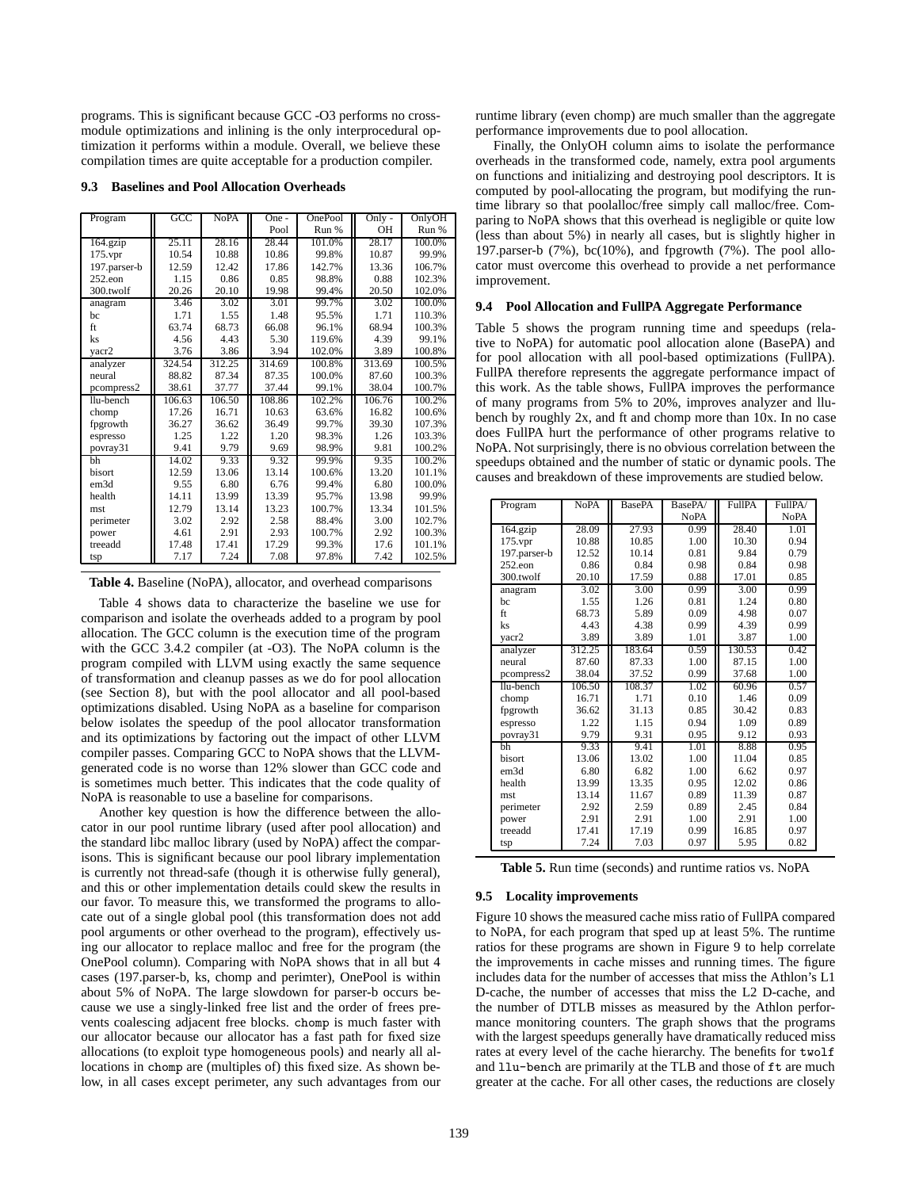programs. This is significant because GCC -O3 performs no crossmodule optimizations and inlining is the only interprocedural optimization it performs within a module. Overall, we believe these compilation times are quite acceptable for a production compiler.

## **9.3 Baselines and Pool Allocation Overheads**

| Program          | CCC    | <b>NoPA</b> | One -  | OnePool | Only - | OnlyOH |
|------------------|--------|-------------|--------|---------|--------|--------|
|                  |        |             | Pool   | Run %   | OH     | Run %  |
| $164$ .gzip      | 25.11  | 28.16       | 28.44  | 101.0%  | 28.17  | 100.0% |
| 175.vpr          | 10.54  | 10.88       | 10.86  | 99.8%   | 10.87  | 99.9%  |
| 197.parser-b     | 12.59  | 12.42       | 17.86  | 142.7%  | 13.36  | 106.7% |
| $252.$ eon       | 1.15   | 0.86        | 0.85   | 98.8%   | 0.88   | 102.3% |
| 300.twolf        | 20.26  | 20.10       | 19.98  | 99.4%   | 20.50  | 102.0% |
| anagram          | 3.46   | 3.02        | 3.01   | 99.7%   | 3.02   | 100.0% |
| bc               | 1.71   | 1.55        | 1.48   | 95.5%   | 1.71   | 110.3% |
| ft               | 63.74  | 68.73       | 66.08  | 96.1%   | 68.94  | 100.3% |
| ks               | 4.56   | 4.43        | 5.30   | 119.6%  | 4.39   | 99.1%  |
| yacr2            | 3.76   | 3.86        | 3.94   | 102.0%  | 3.89   | 100.8% |
| analyzer         | 324.54 | 312.25      | 314.69 | 100.8%  | 313.69 | 100.5% |
| neural           | 88.82  | 87.34       | 87.35  | 100.0%  | 87.60  | 100.3% |
| pcompress2       | 38.61  | 37.77       | 37.44  | 99.1%   | 38.04  | 100.7% |
| llu-bench        | 106.63 | 106.50      | 108.86 | 102.2%  | 106.76 | 100.2% |
| chomp            | 17.26  | 16.71       | 10.63  | 63.6%   | 16.82  | 100.6% |
| fpgrowth         | 36.27  | 36.62       | 36.49  | 99.7%   | 39.30  | 107.3% |
| espresso         | 1.25   | 1.22        | 1.20   | 98.3%   | 1.26   | 103.3% |
| povray31         | 9.41   | 9.79        | 9.69   | 98.9%   | 9.81   | 100.2% |
| hh               | 14.02  | 9.33        | 9.32   | 99.9%   | 9.35   | 100.2% |
| bisort           | 12.59  | 13.06       | 13.14  | 100.6%  | 13.20  | 101.1% |
| em <sub>3d</sub> | 9.55   | 6.80        | 6.76   | 99.4%   | 6.80   | 100.0% |
| health           | 14.11  | 13.99       | 13.39  | 95.7%   | 13.98  | 99.9%  |
| mst              | 12.79  | 13.14       | 13.23  | 100.7%  | 13.34  | 101.5% |
| perimeter        | 3.02   | 2.92        | 2.58   | 88.4%   | 3.00   | 102.7% |
| power            | 4.61   | 2.91        | 2.93   | 100.7%  | 2.92   | 100.3% |
| treeadd          | 17.48  | 17.41       | 17.29  | 99.3%   | 17.6   | 101.1% |
| tsp              | 7.17   | 7.24        | 7.08   | 97.8%   | 7.42   | 102.5% |

**Table 4.** Baseline (NoPA), allocator, and overhead comparisons

Table 4 shows data to characterize the baseline we use for comparison and isolate the overheads added to a program by pool allocation. The GCC column is the execution time of the program with the GCC 3.4.2 compiler (at -O3). The NoPA column is the program compiled with LLVM using exactly the same sequence of transformation and cleanup passes as we do for pool allocation (see Section 8), but with the pool allocator and all pool-based optimizations disabled. Using NoPA as a baseline for comparison below isolates the speedup of the pool allocator transformation and its optimizations by factoring out the impact of other LLVM compiler passes. Comparing GCC to NoPA shows that the LLVMgenerated code is no worse than 12% slower than GCC code and is sometimes much better. This indicates that the code quality of NoPA is reasonable to use a baseline for comparisons.

Another key question is how the difference between the allocator in our pool runtime library (used after pool allocation) and the standard libc malloc library (used by NoPA) affect the comparisons. This is significant because our pool library implementation is currently not thread-safe (though it is otherwise fully general), and this or other implementation details could skew the results in our favor. To measure this, we transformed the programs to allocate out of a single global pool (this transformation does not add pool arguments or other overhead to the program), effectively using our allocator to replace malloc and free for the program (the OnePool column). Comparing with NoPA shows that in all but 4 cases (197.parser-b, ks, chomp and perimter), OnePool is within about 5% of NoPA. The large slowdown for parser-b occurs because we use a singly-linked free list and the order of frees prevents coalescing adjacent free blocks. chomp is much faster with our allocator because our allocator has a fast path for fixed size allocations (to exploit type homogeneous pools) and nearly all allocations in chomp are (multiples of) this fixed size. As shown below, in all cases except perimeter, any such advantages from our runtime library (even chomp) are much smaller than the aggregate performance improvements due to pool allocation.

Finally, the OnlyOH column aims to isolate the performance overheads in the transformed code, namely, extra pool arguments on functions and initializing and destroying pool descriptors. It is computed by pool-allocating the program, but modifying the runtime library so that poolalloc/free simply call malloc/free. Comparing to NoPA shows that this overhead is negligible or quite low (less than about 5%) in nearly all cases, but is slightly higher in 197.parser-b  $(7\%)$ , bc $(10\%)$ , and fpgrowth  $(7\%)$ . The pool allocator must overcome this overhead to provide a net performance improvement.

#### **9.4 Pool Allocation and FullPA Aggregate Performance**

Table 5 shows the program running time and speedups (relative to NoPA) for automatic pool allocation alone (BasePA) and for pool allocation with all pool-based optimizations (FullPA). FullPA therefore represents the aggregate performance impact of this work. As the table shows, FullPA improves the performance of many programs from 5% to 20%, improves analyzer and llubench by roughly 2x, and ft and chomp more than 10x. In no case does FullPA hurt the performance of other programs relative to NoPA. Not surprisingly, there is no obvious correlation between the speedups obtained and the number of static or dynamic pools. The causes and breakdown of these improvements are studied below.

| Program                | <b>NoPA</b> | <b>BasePA</b> | BasePA/     | FullPA | FullPA/     |
|------------------------|-------------|---------------|-------------|--------|-------------|
|                        |             |               | <b>NoPA</b> |        | <b>NoPA</b> |
| $\overline{16}4$ .gzip | 28.09       | 27.93         | 0.99        | 28.40  | 1.01        |
| 175.vpr                | 10.88       | 10.85         | 1.00        | 10.30  | 0.94        |
| 197.parser-b           | 12.52       | 10.14         | 0.81        | 9.84   | 0.79        |
| 252.eon                | 0.86        | 0.84          | 0.98        | 0.84   | 0.98        |
| 300.twolf              | 20.10       | 17.59         | 0.88        | 17.01  | 0.85        |
| anagram                | 3.02        | 3.00          | 0.99        | 3.00   | 0.99        |
| bc                     | 1.55        | 1.26          | 0.81        | 1.24   | 0.80        |
| ft                     | 68.73       | 5.89          | 0.09        | 4.98   | 0.07        |
| ks                     | 4.43        | 4.38          | 0.99        | 4.39   | 0.99        |
| yacr2                  | 3.89        | 3.89          | 1.01        | 3.87   | 1.00        |
| analyzer               | 312.25      | 183.64        | 0.59        | 130.53 | 0.42        |
| neural                 | 87.60       | 87.33         | 1.00        | 87.15  | 1.00        |
| pcompress2             | 38.04       | 37.52         | 0.99        | 37.68  | 1.00        |
| llu-bench              | 106.50      | 108.37        | 1.02        | 60.96  | 0.57        |
| chomp                  | 16.71       | 1.71          | 0.10        | 1.46   | 0.09        |
| fpgrowth               | 36.62       | 31.13         | 0.85        | 30.42  | 0.83        |
| espresso               | 1.22        | 1.15          | 0.94        | 1.09   | 0.89        |
| povray31               | 9.79        | 9.31          | 0.95        | 9.12   | 0.93        |
| hh                     | 9.33        | 9.41          | 1.01        | 8.88   | 0.95        |
| bisort                 | 13.06       | 13.02         | 1.00        | 11.04  | 0.85        |
| em <sub>3d</sub>       | 6.80        | 6.82          | 1.00        | 6.62   | 0.97        |
| health                 | 13.99       | 13.35         | 0.95        | 12.02  | 0.86        |
| mst                    | 13.14       | 11.67         | 0.89        | 11.39  | 0.87        |
| perimeter              | 2.92        | 2.59          | 0.89        | 2.45   | 0.84        |
| power                  | 2.91        | 2.91          | 1.00        | 2.91   | 1.00        |
| treeadd                | 17.41       | 17.19         | 0.99        | 16.85  | 0.97        |
| tsp                    | 7.24        | 7.03          | 0.97        | 5.95   | 0.82        |

**Table 5.** Run time (seconds) and runtime ratios vs. NoPA

#### **9.5 Locality improvements**

Figure 10 shows the measured cache miss ratio of FullPA compared to NoPA, for each program that sped up at least 5%. The runtime ratios for these programs are shown in Figure 9 to help correlate the improvements in cache misses and running times. The figure includes data for the number of accesses that miss the Athlon's L1 D-cache, the number of accesses that miss the L2 D-cache, and the number of DTLB misses as measured by the Athlon performance monitoring counters. The graph shows that the programs with the largest speedups generally have dramatically reduced miss rates at every level of the cache hierarchy. The benefits for twolf and llu-bench are primarily at the TLB and those of ft are much greater at the cache. For all other cases, the reductions are closely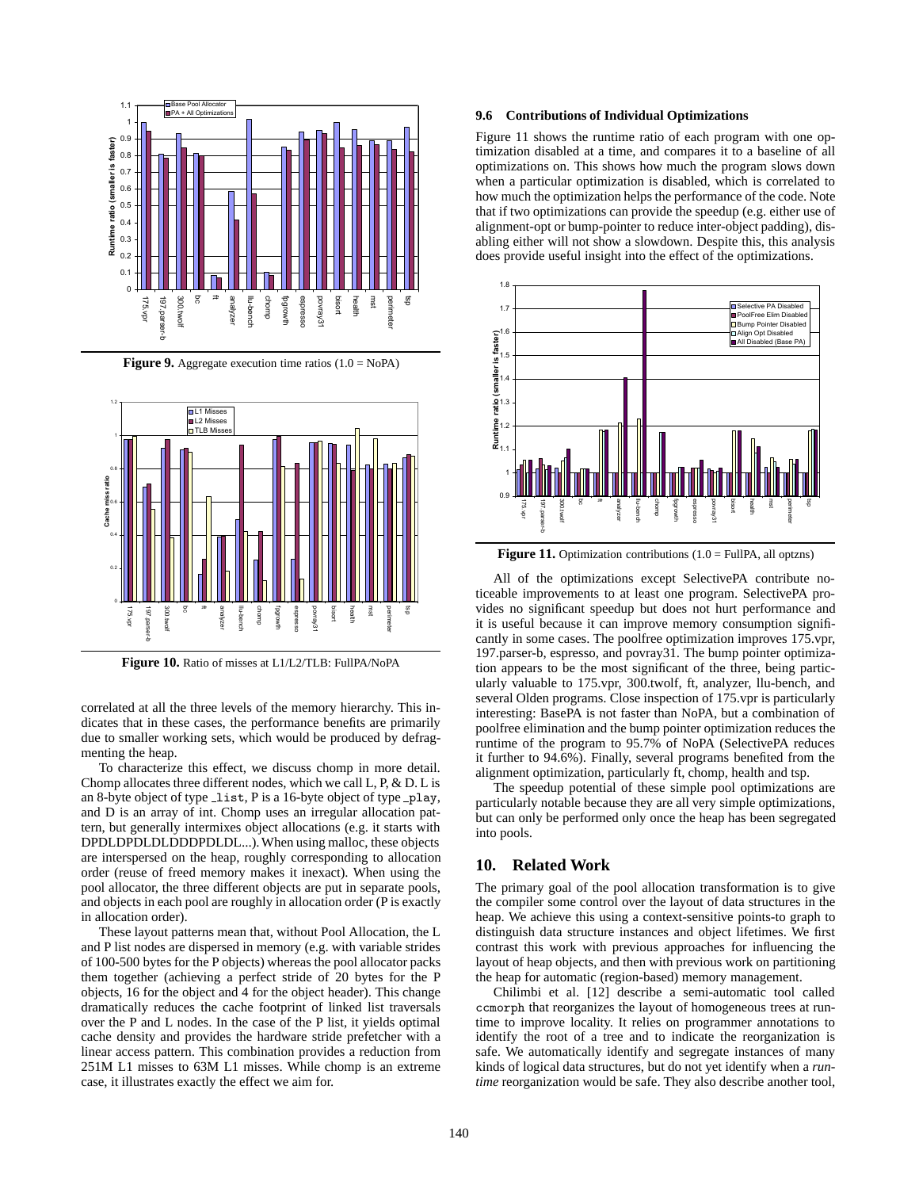

**Figure 9.** Aggregate execution time ratios (1.0 = NoPA)



**Figure 10.** Ratio of misses at L1/L2/TLB: FullPA/NoPA

correlated at all the three levels of the memory hierarchy. This indicates that in these cases, the performance benefits are primarily due to smaller working sets, which would be produced by defragmenting the heap.

To characterize this effect, we discuss chomp in more detail. Chomp allocates three different nodes, which we call L, P, & D. L is an 8-byte object of type list, P is a 16-byte object of type play, and D is an array of int. Chomp uses an irregular allocation pattern, but generally intermixes object allocations (e.g. it starts with DPDLDPDLDLDDDPDLDL...). When using malloc, these objects are interspersed on the heap, roughly corresponding to allocation order (reuse of freed memory makes it inexact). When using the pool allocator, the three different objects are put in separate pools, and objects in each pool are roughly in allocation order (P is exactly in allocation order).

These layout patterns mean that, without Pool Allocation, the L and P list nodes are dispersed in memory (e.g. with variable strides of 100-500 bytes for the P objects) whereas the pool allocator packs them together (achieving a perfect stride of 20 bytes for the P objects, 16 for the object and 4 for the object header). This change dramatically reduces the cache footprint of linked list traversals over the P and L nodes. In the case of the P list, it yields optimal cache density and provides the hardware stride prefetcher with a linear access pattern. This combination provides a reduction from 251M L1 misses to 63M L1 misses. While chomp is an extreme case, it illustrates exactly the effect we aim for.

## **9.6 Contributions of Individual Optimizations**

Figure 11 shows the runtime ratio of each program with one optimization disabled at a time, and compares it to a baseline of all optimizations on. This shows how much the program slows down when a particular optimization is disabled, which is correlated to how much the optimization helps the performance of the code. Note that if two optimizations can provide the speedup (e.g. either use of alignment-opt or bump-pointer to reduce inter-object padding), disabling either will not show a slowdown. Despite this, this analysis does provide useful insight into the effect of the optimizations.



**Figure 11.** Optimization contributions (1.0 = FullPA, all optzns)

All of the optimizations except SelectivePA contribute noticeable improvements to at least one program. SelectivePA provides no significant speedup but does not hurt performance and it is useful because it can improve memory consumption significantly in some cases. The poolfree optimization improves 175.vpr, 197.parser-b, espresso, and povray31. The bump pointer optimization appears to be the most significant of the three, being particularly valuable to 175.vpr, 300.twolf, ft, analyzer, llu-bench, and several Olden programs. Close inspection of 175.vpr is particularly interesting: BasePA is not faster than NoPA, but a combination of poolfree elimination and the bump pointer optimization reduces the runtime of the program to 95.7% of NoPA (SelectivePA reduces it further to 94.6%). Finally, several programs benefited from the alignment optimization, particularly ft, chomp, health and tsp.

The speedup potential of these simple pool optimizations are particularly notable because they are all very simple optimizations, but can only be performed only once the heap has been segregated into pools.

# **10. Related Work**

The primary goal of the pool allocation transformation is to give the compiler some control over the layout of data structures in the heap. We achieve this using a context-sensitive points-to graph to distinguish data structure instances and object lifetimes. We first contrast this work with previous approaches for influencing the layout of heap objects, and then with previous work on partitioning the heap for automatic (region-based) memory management.

Chilimbi et al. [12] describe a semi-automatic tool called ccmorph that reorganizes the layout of homogeneous trees at runtime to improve locality. It relies on programmer annotations to identify the root of a tree and to indicate the reorganization is safe. We automatically identify and segregate instances of many kinds of logical data structures, but do not yet identify when a *runtime* reorganization would be safe. They also describe another tool,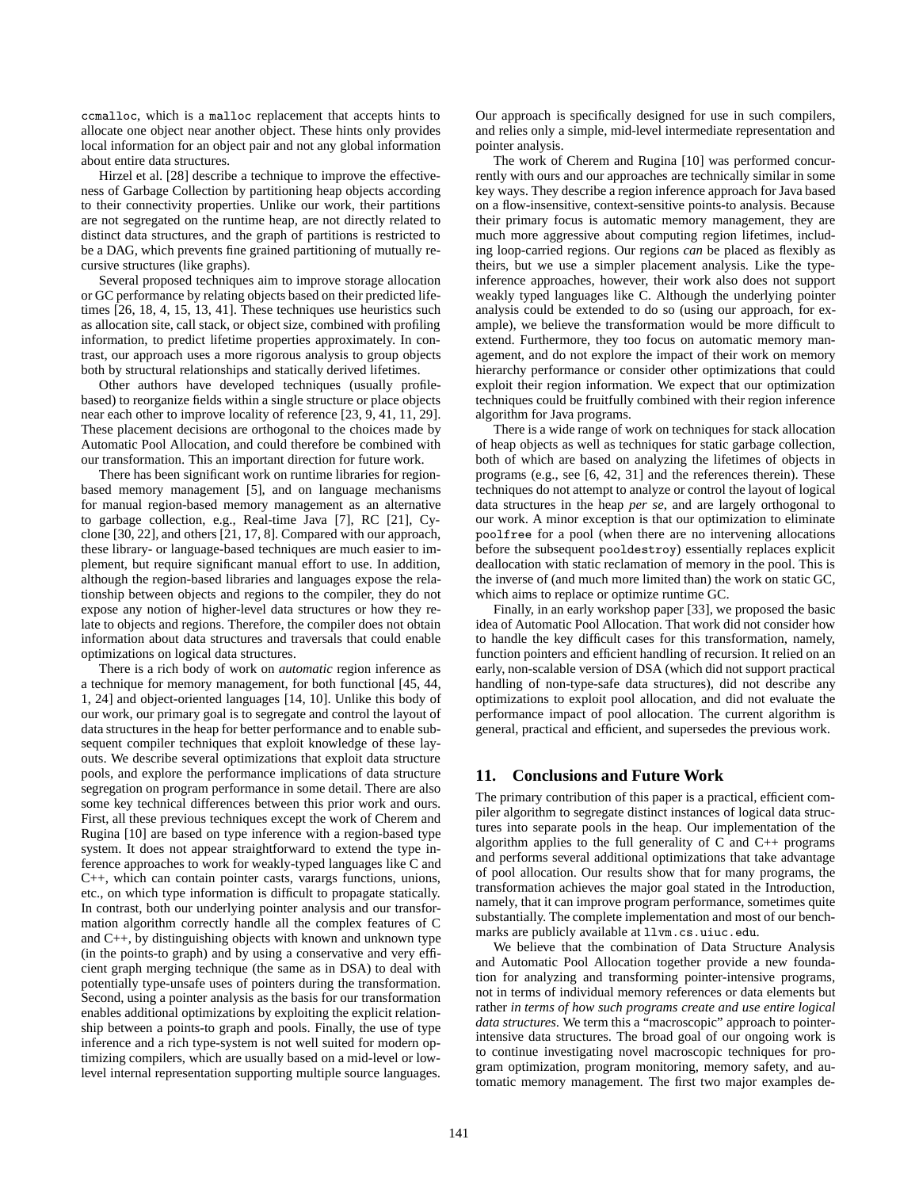ccmalloc, which is a malloc replacement that accepts hints to allocate one object near another object. These hints only provides local information for an object pair and not any global information about entire data structures.

Hirzel et al. [28] describe a technique to improve the effectiveness of Garbage Collection by partitioning heap objects according to their connectivity properties. Unlike our work, their partitions are not segregated on the runtime heap, are not directly related to distinct data structures, and the graph of partitions is restricted to be a DAG, which prevents fine grained partitioning of mutually recursive structures (like graphs).

Several proposed techniques aim to improve storage allocation or GC performance by relating objects based on their predicted lifetimes [26, 18, 4, 15, 13, 41]. These techniques use heuristics such as allocation site, call stack, or object size, combined with profiling information, to predict lifetime properties approximately. In contrast, our approach uses a more rigorous analysis to group objects both by structural relationships and statically derived lifetimes.

Other authors have developed techniques (usually profilebased) to reorganize fields within a single structure or place objects near each other to improve locality of reference [23, 9, 41, 11, 29]. These placement decisions are orthogonal to the choices made by Automatic Pool Allocation, and could therefore be combined with our transformation. This an important direction for future work.

There has been significant work on runtime libraries for regionbased memory management [5], and on language mechanisms for manual region-based memory management as an alternative to garbage collection, e.g., Real-time Java [7], RC [21], Cyclone [30, 22], and others [21, 17, 8]. Compared with our approach, these library- or language-based techniques are much easier to implement, but require significant manual effort to use. In addition, although the region-based libraries and languages expose the relationship between objects and regions to the compiler, they do not expose any notion of higher-level data structures or how they relate to objects and regions. Therefore, the compiler does not obtain information about data structures and traversals that could enable optimizations on logical data structures.

There is a rich body of work on *automatic* region inference as a technique for memory management, for both functional [45, 44, 1, 24] and object-oriented languages [14, 10]. Unlike this body of our work, our primary goal is to segregate and control the layout of data structures in the heap for better performance and to enable subsequent compiler techniques that exploit knowledge of these layouts. We describe several optimizations that exploit data structure pools, and explore the performance implications of data structure segregation on program performance in some detail. There are also some key technical differences between this prior work and ours. First, all these previous techniques except the work of Cherem and Rugina [10] are based on type inference with a region-based type system. It does not appear straightforward to extend the type inference approaches to work for weakly-typed languages like C and C++, which can contain pointer casts, varargs functions, unions, etc., on which type information is difficult to propagate statically. In contrast, both our underlying pointer analysis and our transformation algorithm correctly handle all the complex features of C and C++, by distinguishing objects with known and unknown type (in the points-to graph) and by using a conservative and very efficient graph merging technique (the same as in DSA) to deal with potentially type-unsafe uses of pointers during the transformation. Second, using a pointer analysis as the basis for our transformation enables additional optimizations by exploiting the explicit relationship between a points-to graph and pools. Finally, the use of type inference and a rich type-system is not well suited for modern optimizing compilers, which are usually based on a mid-level or lowlevel internal representation supporting multiple source languages. Our approach is specifically designed for use in such compilers, and relies only a simple, mid-level intermediate representation and pointer analysis.

The work of Cherem and Rugina [10] was performed concurrently with ours and our approaches are technically similar in some key ways. They describe a region inference approach for Java based on a flow-insensitive, context-sensitive points-to analysis. Because their primary focus is automatic memory management, they are much more aggressive about computing region lifetimes, including loop-carried regions. Our regions *can* be placed as flexibly as theirs, but we use a simpler placement analysis. Like the typeinference approaches, however, their work also does not support weakly typed languages like C. Although the underlying pointer analysis could be extended to do so (using our approach, for example), we believe the transformation would be more difficult to extend. Furthermore, they too focus on automatic memory management, and do not explore the impact of their work on memory hierarchy performance or consider other optimizations that could exploit their region information. We expect that our optimization techniques could be fruitfully combined with their region inference algorithm for Java programs.

There is a wide range of work on techniques for stack allocation of heap objects as well as techniques for static garbage collection, both of which are based on analyzing the lifetimes of objects in programs (e.g., see [6, 42, 31] and the references therein). These techniques do not attempt to analyze or control the layout of logical data structures in the heap *per se*, and are largely orthogonal to our work. A minor exception is that our optimization to eliminate poolfree for a pool (when there are no intervening allocations before the subsequent pooldestroy) essentially replaces explicit deallocation with static reclamation of memory in the pool. This is the inverse of (and much more limited than) the work on static GC, which aims to replace or optimize runtime GC.

Finally, in an early workshop paper [33], we proposed the basic idea of Automatic Pool Allocation. That work did not consider how to handle the key difficult cases for this transformation, namely, function pointers and efficient handling of recursion. It relied on an early, non-scalable version of DSA (which did not support practical handling of non-type-safe data structures), did not describe any optimizations to exploit pool allocation, and did not evaluate the performance impact of pool allocation. The current algorithm is general, practical and efficient, and supersedes the previous work.

# **11. Conclusions and Future Work**

The primary contribution of this paper is a practical, efficient compiler algorithm to segregate distinct instances of logical data structures into separate pools in the heap. Our implementation of the algorithm applies to the full generality of C and  $C_{++}$  programs and performs several additional optimizations that take advantage of pool allocation. Our results show that for many programs, the transformation achieves the major goal stated in the Introduction, namely, that it can improve program performance, sometimes quite substantially. The complete implementation and most of our benchmarks are publicly available at llvm.cs.uiuc.edu.

We believe that the combination of Data Structure Analysis and Automatic Pool Allocation together provide a new foundation for analyzing and transforming pointer-intensive programs, not in terms of individual memory references or data elements but rather *in terms of how such programs create and use entire logical data structures*. We term this a "macroscopic" approach to pointerintensive data structures. The broad goal of our ongoing work is to continue investigating novel macroscopic techniques for program optimization, program monitoring, memory safety, and automatic memory management. The first two major examples de